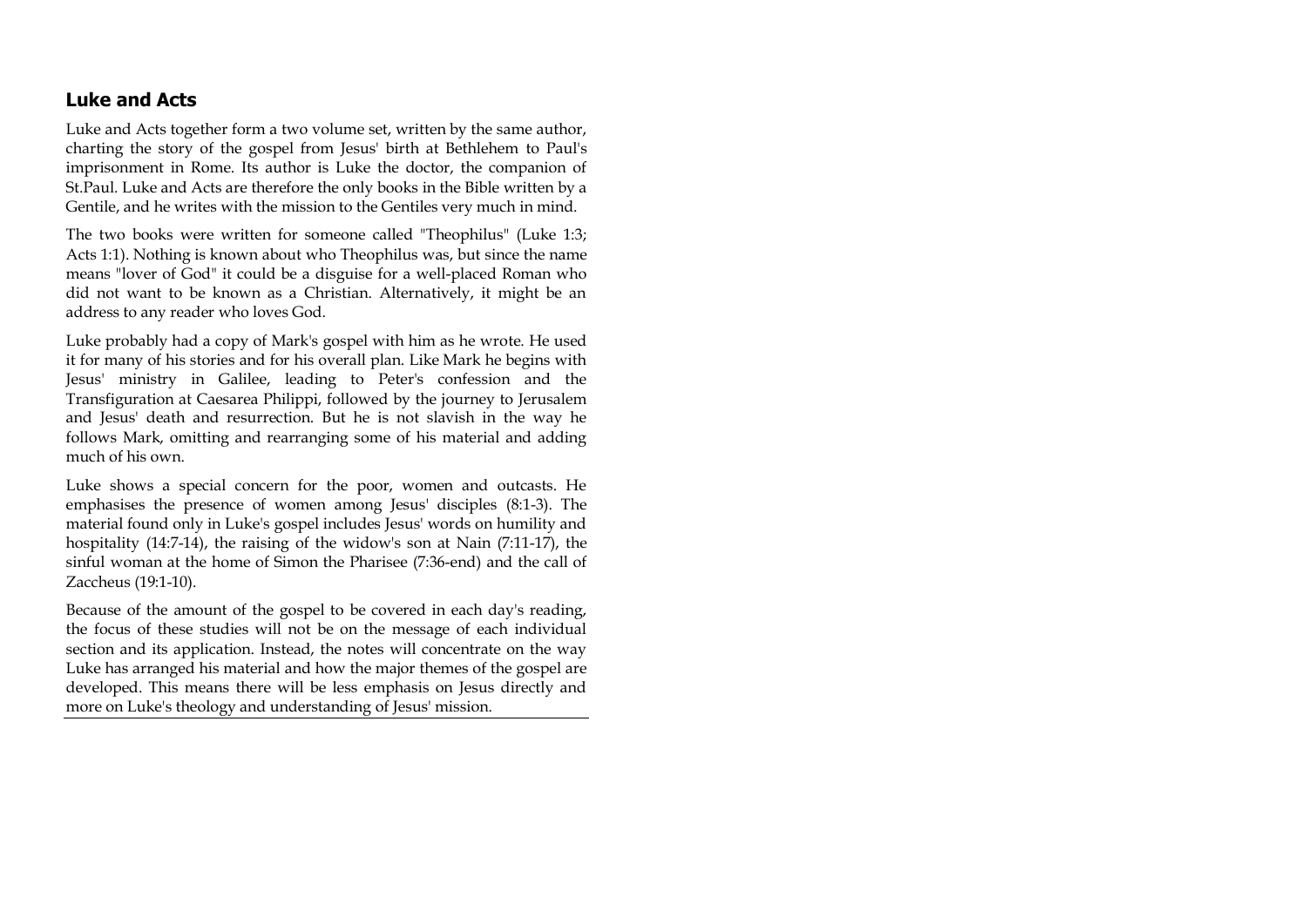# **Luke and Acts**

Luke and Acts together form a two volume set, written by the same author, charting the story of the gospel from Jesus' birth at Bethlehem to Paul's imprisonment in Rome. Its author is Luke the doctor, the companion of St.Paul. Luke and Acts are therefore the only books in the Bible written by a Gentile, and he writes with the mission to the Gentiles very much in mind.

The two books were written for someone called "Theophilus" (Luke 1:3; Acts 1:1). Nothing is known about who Theophilus was, but since the name means "lover of God" it could be a disguise for a well-placed Roman who did not want to be known as a Christian. Alternatively, it might be an address to any reader who loves God.

Luke probably had a copy of Mark's gospel with him as he wrote. He used it for many of his stories and for his overall plan. Like Mark he begins with Jesus' ministry in Galilee, leading to Peter's confession and the Transfiguration at Caesarea Philippi, followed by the journey to Jerusalem and Jesus' death and resurrection. But he is not slavish in the way he follows Mark, omitting and rearranging some of his material and adding much of his own.

Luke shows a special concern for the poor, women and outcasts. He emphasises the presence of women among Jesus' disciples (8:1-3). The material found only in Luke's gospel includes Jesus' words on humility and hospitality (14:7-14), the raising of the widow's son at Nain (7:11-17), the sinful woman at the home of Simon the Pharisee (7:36-end) and the call of Zaccheus (19:1-10).

Because of the amount of the gospel to be covered in each day's reading, the focus of these studies will not be on the message of each individual section and its application. Instead, the notes will concentrate on the way Luke has arranged his material and how the major themes of the gospel are developed. This means there will be less emphasis on Jesus directly and more on Luke's theology and understanding of Jesus' mission.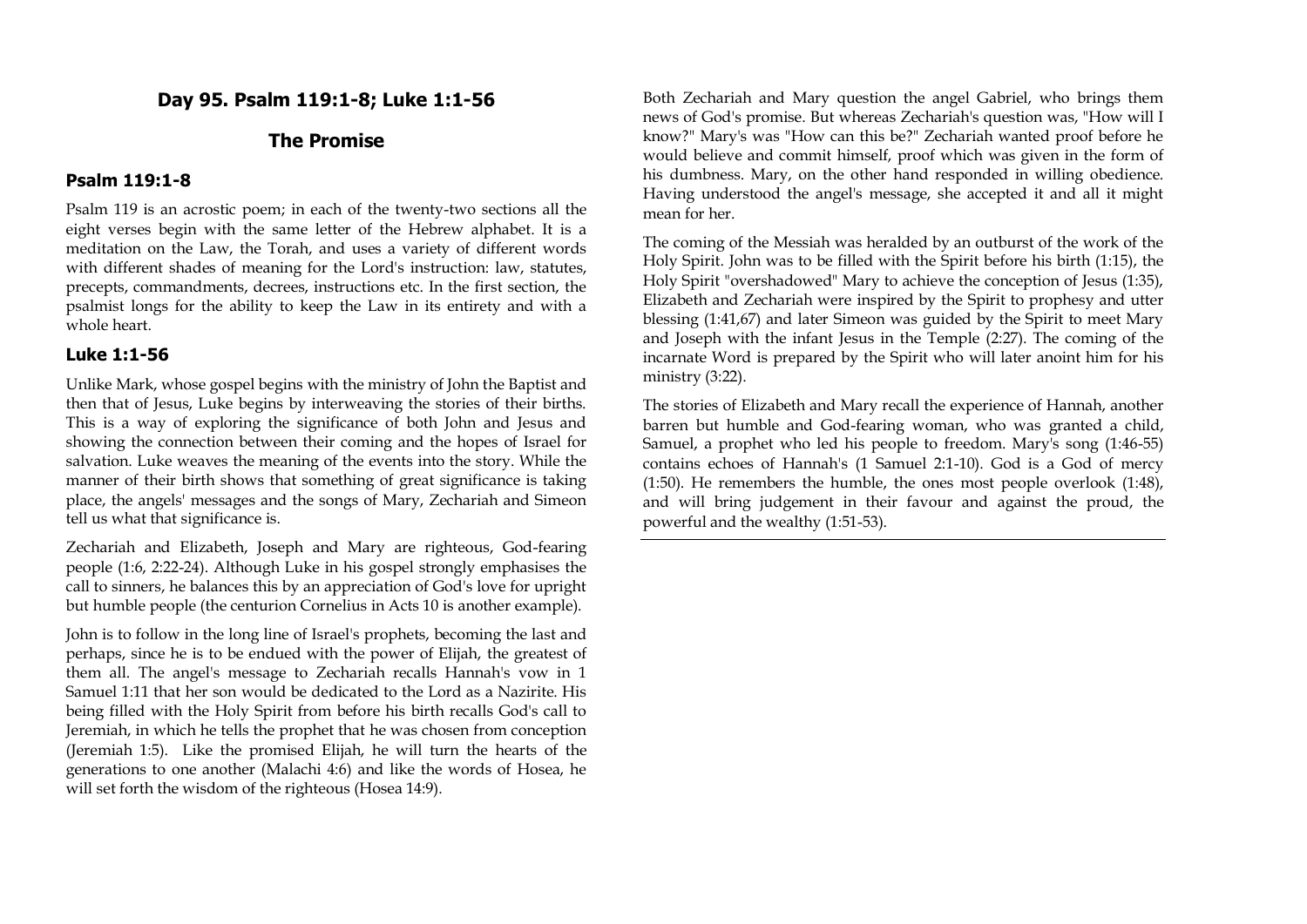# **Day 95. Psalm 119:1-8; Luke 1:1-56**

# **The Promise**

#### **Psalm 119:1-8**

Psalm 119 is an acrostic poem; in each of the twenty-two sections all the eight verses begin with the same letter of the Hebrew alphabet. It is a meditation on the Law, the Torah, and uses a variety of different words with different shades of meaning for the Lord's instruction: law, statutes, precepts, commandments, decrees, instructions etc. In the first section, the psalmist longs for the ability to keep the Law in its entirety and with a whole heart.

#### **Luke 1:1-56**

Unlike Mark, whose gospel begins with the ministry of John the Baptist and then that of Jesus, Luke begins by interweaving the stories of their births. This is a way of exploring the significance of both John and Jesus and showing the connection between their coming and the hopes of Israel for salvation. Luke weaves the meaning of the events into the story. While the manner of their birth shows that something of great significance is taking place, the angels' messages and the songs of Mary, Zechariah and Simeon tell us what that significance is.

Zechariah and Elizabeth, Joseph and Mary are righteous, God-fearing people (1:6, 2:22-24). Although Luke in his gospel strongly emphasises the call to sinners, he balances this by an appreciation of God's love for upright but humble people (the centurion Cornelius in Acts 10 is another example).

John is to follow in the long line of Israel's prophets, becoming the last and perhaps, since he is to be endued with the power of Elijah, the greatest of them all. The angel's message to Zechariah recalls Hannah's vow in 1 Samuel 1:11 that her son would be dedicated to the Lord as a Nazirite. His being filled with the Holy Spirit from before his birth recalls God's call to Jeremiah, in which he tells the prophet that he was chosen from conception (Jeremiah 1:5). Like the promised Elijah, he will turn the hearts of the generations to one another (Malachi 4:6) and like the words of Hosea, he will set forth the wisdom of the righteous (Hosea 14:9).

Both Zechariah and Mary question the angel Gabriel, who brings them news of God's promise. But whereas Zechariah's question was, "How will I know?" Mary's was "How can this be?" Zechariah wanted proof before he would believe and commit himself, proof which was given in the form of his dumbness. Mary, on the other hand responded in willing obedience. Having understood the angel's message, she accepted it and all it might mean for her.

The coming of the Messiah was heralded by an outburst of the work of the Holy Spirit. John was to be filled with the Spirit before his birth (1:15), the Holy Spirit "overshadowed" Mary to achieve the conception of Jesus (1:35), Elizabeth and Zechariah were inspired by the Spirit to prophesy and utter blessing (1:41,67) and later Simeon was guided by the Spirit to meet Mary and Joseph with the infant Jesus in the Temple (2:27). The coming of the incarnate Word is prepared by the Spirit who will later anoint him for his ministry (3:22).

The stories of Elizabeth and Mary recall the experience of Hannah, another barren but humble and God-fearing woman, who was granted a child, Samuel, a prophet who led his people to freedom. Mary's song (1:46-55) contains echoes of Hannah's (1 Samuel 2:1-10). God is a God of mercy (1:50). He remembers the humble, the ones most people overlook (1:48), and will bring judgement in their favour and against the proud, the powerful and the wealthy (1:51-53).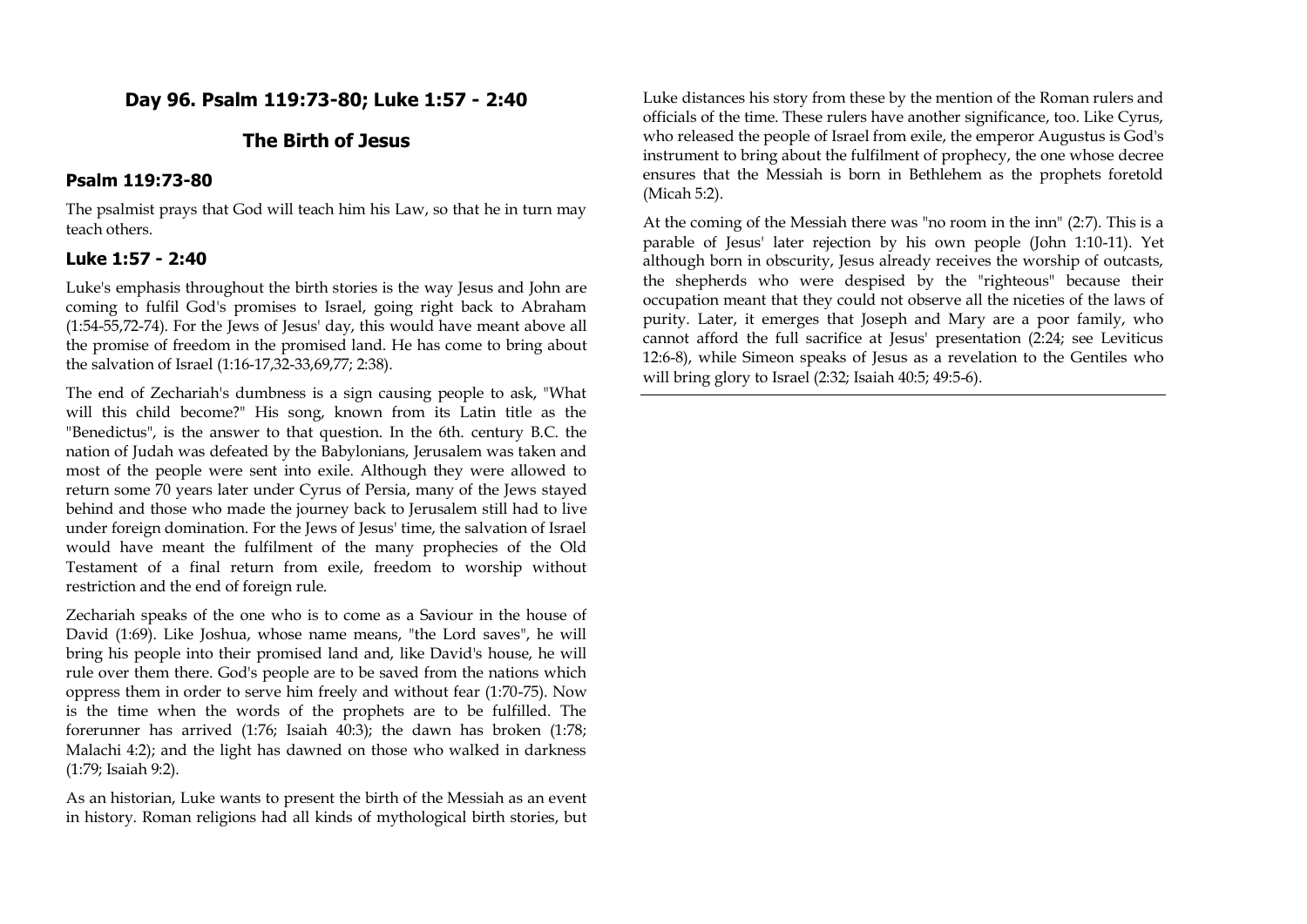## **Day 96. Psalm 119:73-80; Luke 1:57 - 2:40**

## **The Birth of Jesus**

### **Psalm 119:73-80**

The psalmist prays that God will teach him his Law, so that he in turn may teach others.

## **Luke 1:57 - 2:40**

Luke's emphasis throughout the birth stories is the way Jesus and John are coming to fulfil God's promises to Israel, going right back to Abraham (1:54-55,72-74). For the Jews of Jesus' day, this would have meant above all the promise of freedom in the promised land. He has come to bring about the salvation of Israel (1:16-17,32-33,69,77; 2:38).

The end of Zechariah's dumbness is a sign causing people to ask, "What will this child become?" His song, known from its Latin title as the "Benedictus", is the answer to that question. In the 6th. century B.C. the nation of Judah was defeated by the Babylonians, Jerusalem was taken and most of the people were sent into exile. Although they were allowed to return some 70 years later under Cyrus of Persia, many of the Jews stayed behind and those who made the journey back to Jerusalem still had to live under foreign domination. For the Jews of Jesus' time, the salvation of Israel would have meant the fulfilment of the many prophecies of the Old Testament of a final return from exile, freedom to worship without restriction and the end of foreign rule.

Zechariah speaks of the one who is to come as a Saviour in the house of David (1:69). Like Joshua, whose name means, "the Lord saves", he will bring his people into their promised land and, like David's house, he will rule over them there. God's people are to be saved from the nations which oppress them in order to serve him freely and without fear (1:70-75). Now is the time when the words of the prophets are to be fulfilled. The forerunner has arrived (1:76; Isaiah 40:3); the dawn has broken (1:78; Malachi 4:2); and the light has dawned on those who walked in darkness (1:79; Isaiah 9:2).

As an historian, Luke wants to present the birth of the Messiah as an event in history. Roman religions had all kinds of mythological birth stories, but Luke distances his story from these by the mention of the Roman rulers and officials of the time. These rulers have another significance, too. Like Cyrus, who released the people of Israel from exile, the emperor Augustus is God's instrument to bring about the fulfilment of prophecy, the one whose decree ensures that the Messiah is born in Bethlehem as the prophets foretold (Micah 5:2).

At the coming of the Messiah there was "no room in the inn" (2:7). This is a parable of Jesus' later rejection by his own people (John 1:10-11). Yet although born in obscurity, Jesus already receives the worship of outcasts, the shepherds who were despised by the "righteous" because their occupation meant that they could not observe all the niceties of the laws of purity. Later, it emerges that Joseph and Mary are a poor family, who cannot afford the full sacrifice at Jesus' presentation (2:24; see Leviticus 12:6-8), while Simeon speaks of Jesus as a revelation to the Gentiles who will bring glory to Israel (2:32; Isaiah 40:5; 49:5-6).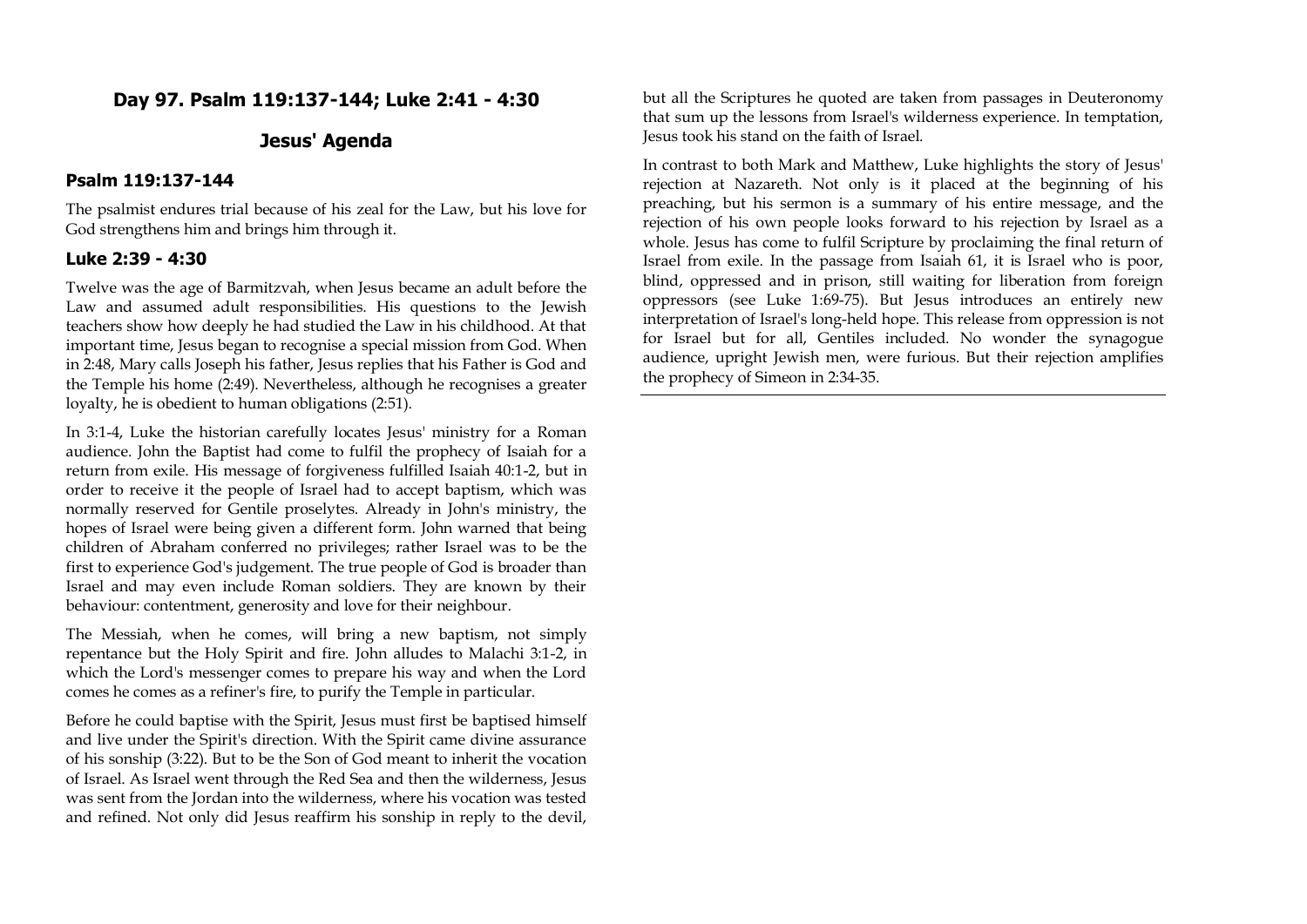## **Day 97. Psalm 119:137-144; Luke 2:41 - 4:30**

## **Jesus' Agenda**

## **Psalm 119:137-144**

The psalmist endures trial because of his zeal for the Law, but his love for God strengthens him and brings him through it.

### **Luke 2:39 - 4:30**

Twelve was the age of Barmitzvah, when Jesus became an adult before the Law and assumed adult responsibilities. His questions to the Jewish teachers show how deeply he had studied the Law in his childhood. At that important time, Jesus began to recognise a special mission from God. When in 2:48, Mary calls Joseph his father, Jesus replies that his Father is God and the Temple his home (2:49). Nevertheless, although he recognises a greater loyalty, he is obedient to human obligations (2:51).

In 3:1-4, Luke the historian carefully locates Jesus' ministry for a Roman audience. John the Baptist had come to fulfil the prophecy of Isaiah for a return from exile. His message of forgiveness fulfilled Isaiah 40:1-2, but in order to receive it the people of Israel had to accept baptism, which was normally reserved for Gentile proselytes. Already in John's ministry, the hopes of Israel were being given a different form. John warned that being children of Abraham conferred no privileges; rather Israel was to be the first to experience God's judgement. The true people of God is broader than Israel and may even include Roman soldiers. They are known by their behaviour: contentment, generosity and love for their neighbour.

The Messiah, when he comes, will bring a new baptism, not simply repentance but the Holy Spirit and fire. John alludes to Malachi 3:1-2, in which the Lord's messenger comes to prepare his way and when the Lord comes he comes as a refiner's fire, to purify the Temple in particular.

Before he could baptise with the Spirit, Jesus must first be baptised himself and live under the Spirit's direction. With the Spirit came divine assurance of his sonship (3:22). But to be the Son of God meant to inherit the vocation of Israel. As Israel went through the Red Sea and then the wilderness, Jesus was sent from the Jordan into the wilderness, where his vocation was tested and refined. Not only did Jesus reaffirm his sonship in reply to the devil,

but all the Scriptures he quoted are taken from passages in Deuteronomy that sum up the lessons from Israel's wilderness experience. In temptation, Jesus took his stand on the faith of Israel.

In contrast to both Mark and Matthew, Luke highlights the story of Jesus' rejection at Nazareth. Not only is it placed at the beginning of his preaching, but his sermon is a summary of his entire message, and the rejection of his own people looks forward to his rejection by Israel as a whole. Jesus has come to fulfil Scripture by proclaiming the final return of Israel from exile. In the passage from Isaiah 61, it is Israel who is poor, blind, oppressed and in prison, still waiting for liberation from foreign oppressors (see Luke 1:69-75). But Jesus introduces an entirely new interpretation of Israel's long-held hope. This release from oppression is not for Israel but for all, Gentiles included. No wonder the synagogue audience, upright Jewish men, were furious. But their rejection amplifies the prophecy of Simeon in 2:34-35.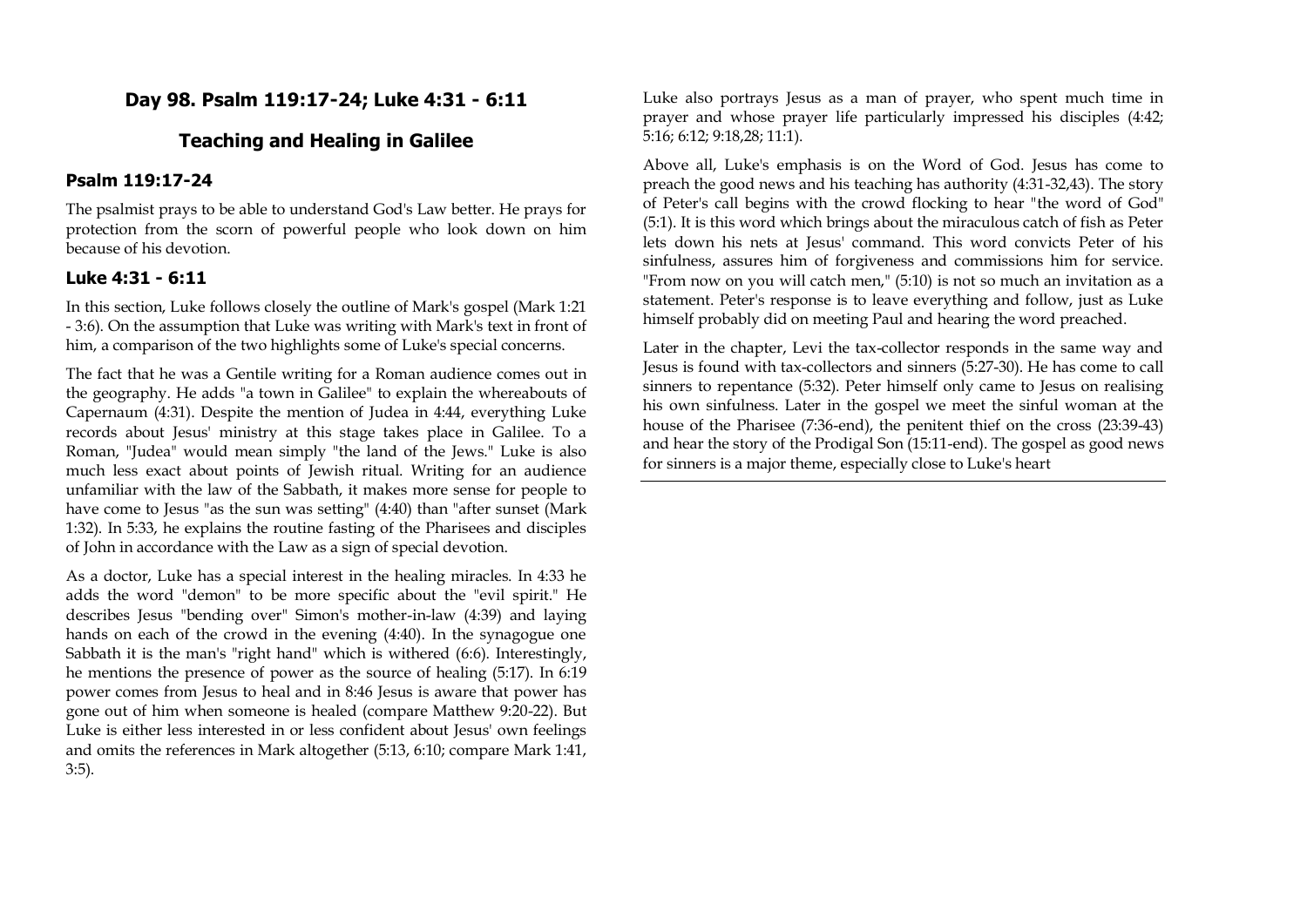# **Day 98. Psalm 119:17-24; Luke 4:31 - 6:11**

## **Teaching and Healing in Galilee**

#### **Psalm 119:17-24**

The psalmist prays to be able to understand God's Law better. He prays for protection from the scorn of powerful people who look down on him because of his devotion.

#### **Luke 4:31 - 6:11**

In this section, Luke follows closely the outline of Mark's gospel (Mark 1:21 - 3:6). On the assumption that Luke was writing with Mark's text in front of him, a comparison of the two highlights some of Luke's special concerns.

The fact that he was a Gentile writing for a Roman audience comes out in the geography. He adds "a town in Galilee" to explain the whereabouts of Capernaum (4:31). Despite the mention of Judea in 4:44, everything Luke records about Jesus' ministry at this stage takes place in Galilee. To a Roman, "Judea" would mean simply "the land of the Jews." Luke is also much less exact about points of Jewish ritual. Writing for an audience unfamiliar with the law of the Sabbath, it makes more sense for people to have come to Jesus "as the sun was setting" (4:40) than "after sunset (Mark 1:32). In 5:33, he explains the routine fasting of the Pharisees and disciples of John in accordance with the Law as a sign of special devotion.

As a doctor, Luke has a special interest in the healing miracles. In 4:33 he adds the word "demon" to be more specific about the "evil spirit." He describes Jesus "bending over" Simon's mother-in-law (4:39) and laying hands on each of the crowd in the evening (4:40). In the synagogue one Sabbath it is the man's "right hand" which is withered (6:6). Interestingly, he mentions the presence of power as the source of healing (5:17). In 6:19 power comes from Jesus to heal and in 8:46 Jesus is aware that power has gone out of him when someone is healed (compare Matthew 9:20-22). But Luke is either less interested in or less confident about Jesus' own feelings and omits the references in Mark altogether (5:13, 6:10; compare Mark 1:41, 3:5).

Luke also portrays Jesus as a man of prayer, who spent much time in prayer and whose prayer life particularly impressed his disciples (4:42; 5:16; 6:12; 9:18,28; 11:1).

Above all, Luke's emphasis is on the Word of God. Jesus has come to preach the good news and his teaching has authority (4:31-32,43). The story of Peter's call begins with the crowd flocking to hear "the word of God" (5:1). It is this word which brings about the miraculous catch of fish as Peter lets down his nets at Jesus' command. This word convicts Peter of his sinfulness, assures him of forgiveness and commissions him for service. "From now on you will catch men," (5:10) is not so much an invitation as a statement. Peter's response is to leave everything and follow, just as Luke himself probably did on meeting Paul and hearing the word preached.

Later in the chapter, Levi the tax-collector responds in the same way and Jesus is found with tax-collectors and sinners (5:27-30). He has come to call sinners to repentance (5:32). Peter himself only came to Jesus on realising his own sinfulness. Later in the gospel we meet the sinful woman at the house of the Pharisee (7:36-end), the penitent thief on the cross (23:39-43) and hear the story of the Prodigal Son (15:11-end). The gospel as good news for sinners is a major theme, especially close to Luke's heart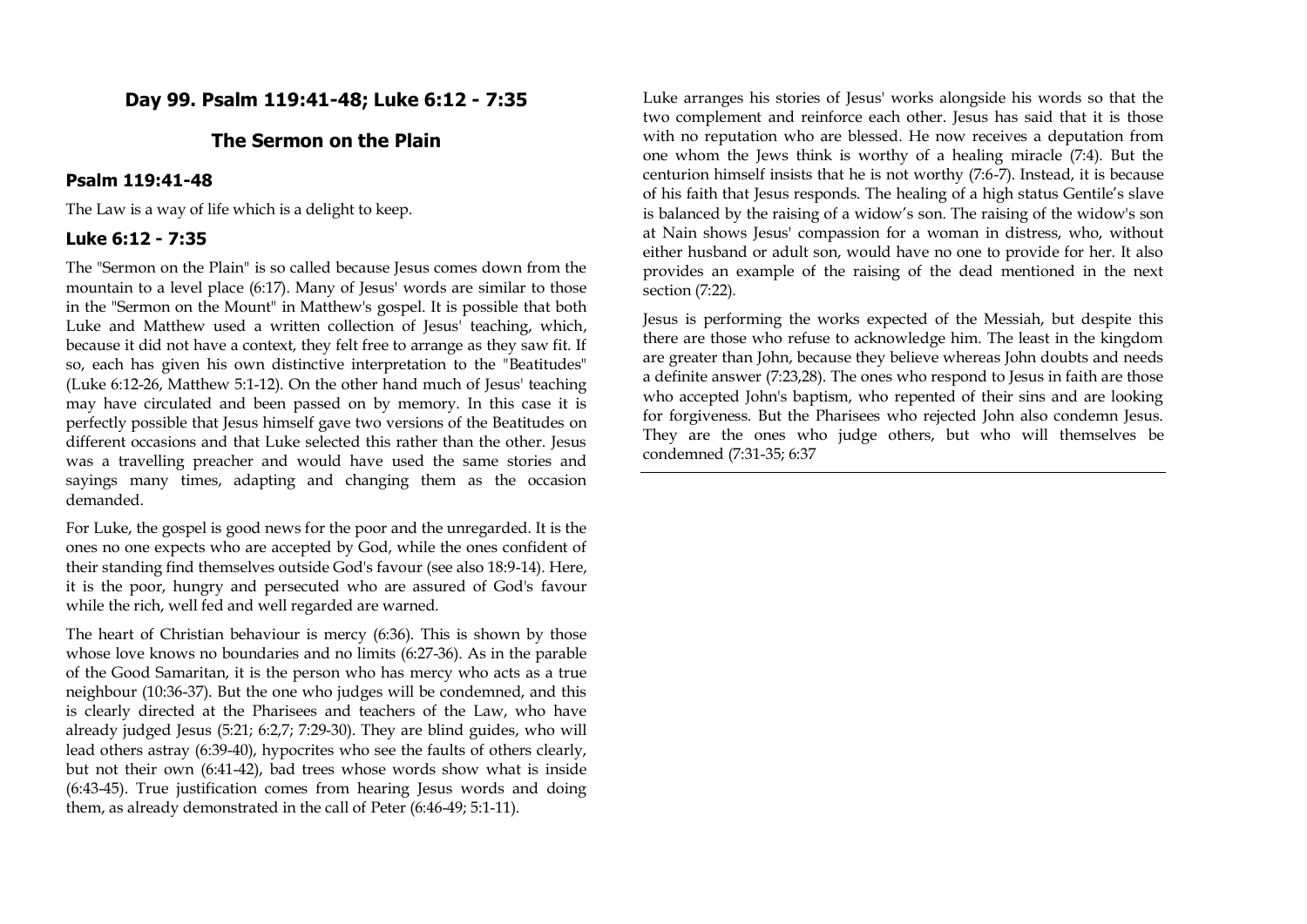## **Day 99. Psalm 119:41-48; Luke 6:12 - 7:35**

### **The Sermon on the Plain**

#### **Psalm 119:41-48**

The Law is a way of life which is a delight to keep.

#### **Luke 6:12 - 7:35**

The "Sermon on the Plain" is so called because Jesus comes down from the mountain to a level place (6:17). Many of Jesus' words are similar to those in the "Sermon on the Mount" in Matthew's gospel. It is possible that both Luke and Matthew used a written collection of Jesus' teaching, which, because it did not have a context, they felt free to arrange as they saw fit. If so, each has given his own distinctive interpretation to the "Beatitudes" (Luke 6:12-26, Matthew 5:1-12). On the other hand much of Jesus' teaching may have circulated and been passed on by memory. In this case it is perfectly possible that Jesus himself gave two versions of the Beatitudes on different occasions and that Luke selected this rather than the other. Jesus was a travelling preacher and would have used the same stories and sayings many times, adapting and changing them as the occasion demanded.

For Luke, the gospel is good news for the poor and the unregarded. It is the ones no one expects who are accepted by God, while the ones confident of their standing find themselves outside God's favour (see also 18:9-14). Here, it is the poor, hungry and persecuted who are assured of God's favour while the rich, well fed and well regarded are warned.

The heart of Christian behaviour is mercy (6:36). This is shown by those whose love knows no boundaries and no limits (6:27-36). As in the parable of the Good Samaritan, it is the person who has mercy who acts as a true neighbour (10:36-37). But the one who judges will be condemned, and this is clearly directed at the Pharisees and teachers of the Law, who have already judged Jesus (5:21; 6:2,7; 7:29-30). They are blind guides, who will lead others astray (6:39-40), hypocrites who see the faults of others clearly, but not their own (6:41-42), bad trees whose words show what is inside (6:43-45). True justification comes from hearing Jesus words and doing them, as already demonstrated in the call of Peter (6:46-49; 5:1-11).

Luke arranges his stories of Jesus' works alongside his words so that the two complement and reinforce each other. Jesus has said that it is those with no reputation who are blessed. He now receives a deputation from one whom the Jews think is worthy of a healing miracle (7:4). But the centurion himself insists that he is not worthy (7:6-7). Instead, it is because of his faith that Jesus responds. The healing of a high status Gentile's slave is balanced by the raising of a widow's son. The raising of the widow's son at Nain shows Jesus' compassion for a woman in distress, who, without either husband or adult son, would have no one to provide for her. It also provides an example of the raising of the dead mentioned in the next section (7:22).

Jesus is performing the works expected of the Messiah, but despite this there are those who refuse to acknowledge him. The least in the kingdom are greater than John, because they believe whereas John doubts and needs a definite answer (7:23,28). The ones who respond to Jesus in faith are those who accepted John's baptism, who repented of their sins and are looking for forgiveness. But the Pharisees who rejected John also condemn Jesus. They are the ones who judge others, but who will themselves be condemned (7:31-35; 6:37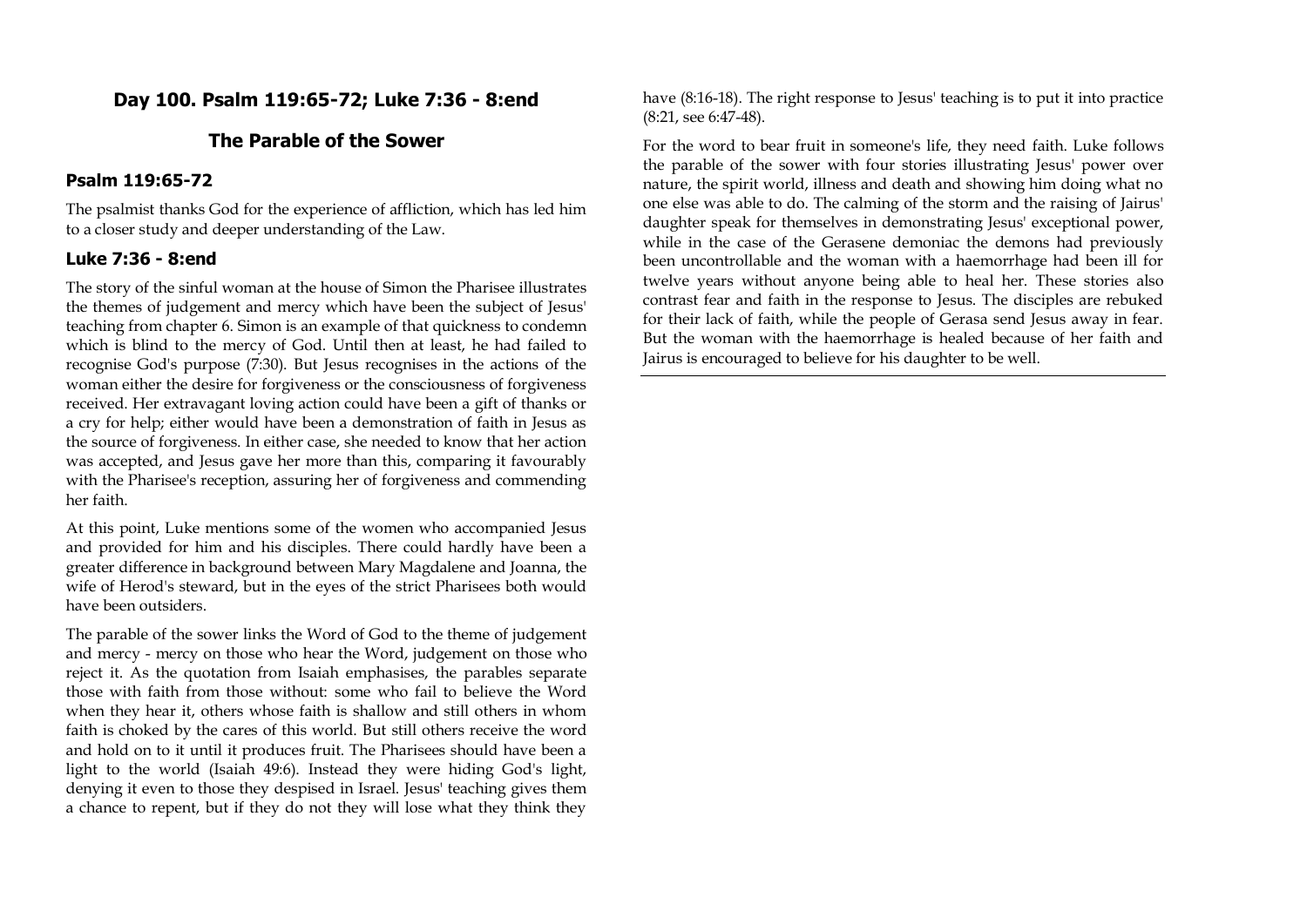## **Day 100. Psalm 119:65-72; Luke 7:36 - 8:end**

# **The Parable of the Sower**

#### **Psalm 119:65-72**

The psalmist thanks God for the experience of affliction, which has led him to a closer study and deeper understanding of the Law.

#### **Luke 7:36 - 8:end**

The story of the sinful woman at the house of Simon the Pharisee illustrates the themes of judgement and mercy which have been the subject of Jesus' teaching from chapter 6. Simon is an example of that quickness to condemn which is blind to the mercy of God. Until then at least, he had failed to recognise God's purpose (7:30). But Jesus recognises in the actions of the woman either the desire for forgiveness or the consciousness of forgiveness received. Her extravagant loving action could have been a gift of thanks or a cry for help; either would have been a demonstration of faith in Jesus as the source of forgiveness. In either case, she needed to know that her action was accepted, and Jesus gave her more than this, comparing it favourably with the Pharisee's reception, assuring her of forgiveness and commending her faith.

At this point, Luke mentions some of the women who accompanied Jesus and provided for him and his disciples. There could hardly have been a greater difference in background between Mary Magdalene and Joanna, the wife of Herod's steward, but in the eyes of the strict Pharisees both would have been outsiders.

The parable of the sower links the Word of God to the theme of judgement and mercy - mercy on those who hear the Word, judgement on those who reject it. As the quotation from Isaiah emphasises, the parables separate those with faith from those without: some who fail to believe the Word when they hear it, others whose faith is shallow and still others in whom faith is choked by the cares of this world. But still others receive the word and hold on to it until it produces fruit. The Pharisees should have been a light to the world (Isaiah 49:6). Instead they were hiding God's light, denying it even to those they despised in Israel. Jesus' teaching gives them a chance to repent, but if they do not they will lose what they think they

have  $(8:16-18)$ . The right response to Jesus' teaching is to put it into practice (8:21, see 6:47-48).

For the word to bear fruit in someone's life, they need faith. Luke follows the parable of the sower with four stories illustrating Jesus' power over nature, the spirit world, illness and death and showing him doing what no one else was able to do. The calming of the storm and the raising of Jairus' daughter speak for themselves in demonstrating Jesus' exceptional power, while in the case of the Gerasene demoniac the demons had previously been uncontrollable and the woman with a haemorrhage had been ill for twelve years without anyone being able to heal her. These stories also contrast fear and faith in the response to Jesus. The disciples are rebuked for their lack of faith, while the people of Gerasa send Jesus away in fear. But the woman with the haemorrhage is healed because of her faith and Jairus is encouraged to believe for his daughter to be well.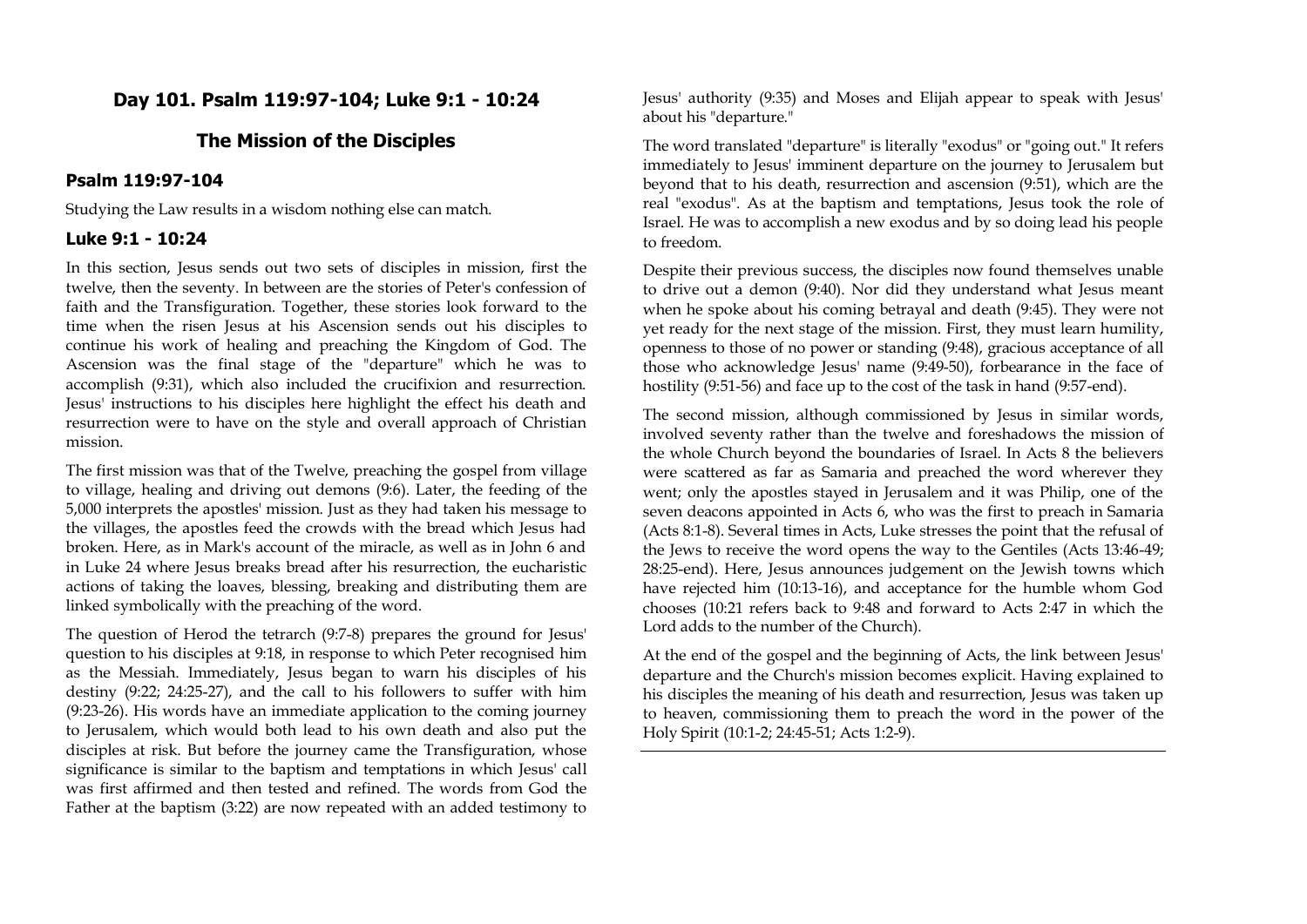## **Day 101. Psalm 119:97-104; Luke 9:1 - 10:24**

## **The Mission of the Disciples**

#### **Psalm 119:97-104**

Studying the Law results in a wisdom nothing else can match.

#### **Luke 9:1 - 10:24**

In this section, Jesus sends out two sets of disciples in mission, first the twelve, then the seventy. In between are the stories of Peter's confession of faith and the Transfiguration. Together, these stories look forward to the time when the risen Jesus at his Ascension sends out his disciples to continue his work of healing and preaching the Kingdom of God. The Ascension was the final stage of the "departure" which he was to accomplish (9:31), which also included the crucifixion and resurrection. Jesus' instructions to his disciples here highlight the effect his death and resurrection were to have on the style and overall approach of Christian mission.

The first mission was that of the Twelve, preaching the gospel from village to village, healing and driving out demons (9:6). Later, the feeding of the 5,000 interprets the apostles' mission. Just as they had taken his message to the villages, the apostles feed the crowds with the bread which Jesus had broken. Here, as in Mark's account of the miracle, as well as in John 6 and in Luke 24 where Jesus breaks bread after his resurrection, the eucharistic actions of taking the loaves, blessing, breaking and distributing them are linked symbolically with the preaching of the word.

The question of Herod the tetrarch (9:7-8) prepares the ground for Jesus' question to his disciples at 9:18, in response to which Peter recognised him as the Messiah. Immediately, Jesus began to warn his disciples of his destiny (9:22; 24:25-27), and the call to his followers to suffer with him (9:23-26). His words have an immediate application to the coming journey to Jerusalem, which would both lead to his own death and also put the disciples at risk. But before the journey came the Transfiguration, whose significance is similar to the baptism and temptations in which Jesus' call was first affirmed and then tested and refined. The words from God the Father at the baptism (3:22) are now repeated with an added testimony to

Jesus' authority (9:35) and Moses and Elijah appear to speak with Jesus' about his "departure."

The word translated "departure" is literally "exodus" or "going out." It refers immediately to Jesus' imminent departure on the journey to Jerusalem but beyond that to his death, resurrection and ascension (9:51), which are the real "exodus". As at the baptism and temptations, Jesus took the role of Israel. He was to accomplish a new exodus and by so doing lead his people to freedom.

Despite their previous success, the disciples now found themselves unable to drive out a demon (9:40). Nor did they understand what Jesus meant when he spoke about his coming betrayal and death (9:45). They were not yet ready for the next stage of the mission. First, they must learn humility, openness to those of no power or standing (9:48), gracious acceptance of all those who acknowledge Jesus' name (9:49-50), forbearance in the face of hostility (9:51-56) and face up to the cost of the task in hand (9:57-end).

The second mission, although commissioned by Jesus in similar words, involved seventy rather than the twelve and foreshadows the mission of the whole Church beyond the boundaries of Israel. In Acts 8 the believers were scattered as far as Samaria and preached the word wherever they went; only the apostles stayed in Jerusalem and it was Philip, one of the seven deacons appointed in Acts 6, who was the first to preach in Samaria (Acts 8:1-8). Several times in Acts, Luke stresses the point that the refusal of the Jews to receive the word opens the way to the Gentiles (Acts 13:46-49; 28:25-end). Here, Jesus announces judgement on the Jewish towns which have rejected him (10:13-16), and acceptance for the humble whom God chooses (10:21 refers back to 9:48 and forward to Acts 2:47 in which the Lord adds to the number of the Church).

At the end of the gospel and the beginning of Acts, the link between Jesus' departure and the Church's mission becomes explicit. Having explained to his disciples the meaning of his death and resurrection, Jesus was taken up to heaven, commissioning them to preach the word in the power of the Holy Spirit (10:1-2; 24:45-51; Acts 1:2-9).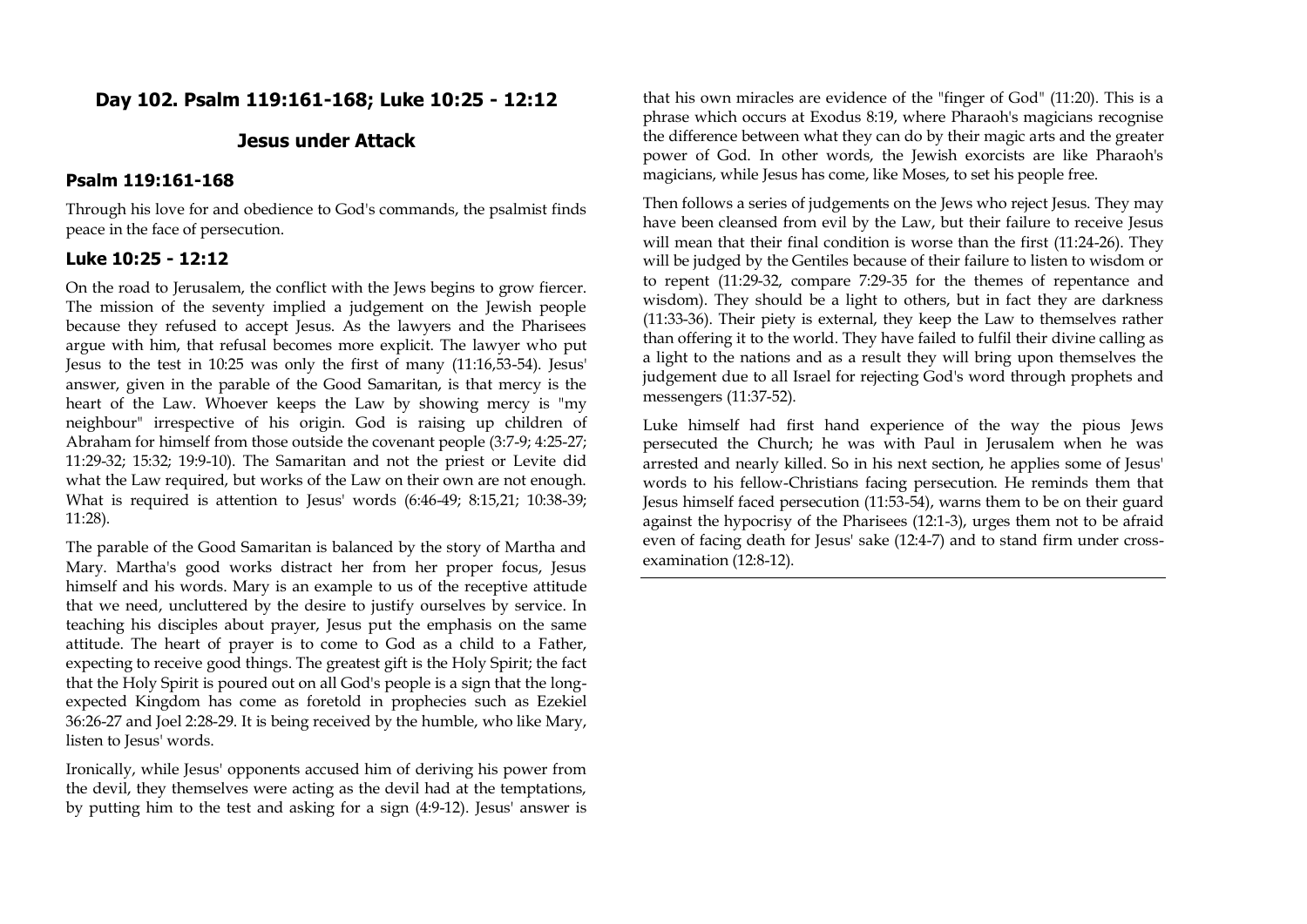# **Day 102. Psalm 119:161-168; Luke 10:25 - 12:12**

## **Jesus under Attack**

#### **Psalm 119:161-168**

Through his love for and obedience to God's commands, the psalmist finds peace in the face of persecution.

## **Luke 10:25 - 12:12**

On the road to Jerusalem, the conflict with the Jews begins to grow fiercer. The mission of the seventy implied a judgement on the Jewish people because they refused to accept Jesus. As the lawyers and the Pharisees argue with him, that refusal becomes more explicit. The lawyer who put Jesus to the test in 10:25 was only the first of many (11:16,53-54). Jesus' answer, given in the parable of the Good Samaritan, is that mercy is the heart of the Law. Whoever keeps the Law by showing mercy is "my neighbour" irrespective of his origin. God is raising up children of Abraham for himself from those outside the covenant people (3:7-9; 4:25-27; 11:29-32; 15:32; 19:9-10). The Samaritan and not the priest or Levite did what the Law required, but works of the Law on their own are not enough. What is required is attention to Jesus' words (6:46-49; 8:15,21; 10:38-39; 11:28).

The parable of the Good Samaritan is balanced by the story of Martha and Mary. Martha's good works distract her from her proper focus, Jesus himself and his words. Mary is an example to us of the receptive attitude that we need, uncluttered by the desire to justify ourselves by service. In teaching his disciples about prayer, Jesus put the emphasis on the same attitude. The heart of prayer is to come to God as a child to a Father, expecting to receive good things. The greatest gift is the Holy Spirit; the fact that the Holy Spirit is poured out on all God's people is a sign that the longexpected Kingdom has come as foretold in prophecies such as Ezekiel 36:26-27 and Joel 2:28-29. It is being received by the humble, who like Mary, listen to Jesus' words.

Ironically, while Jesus' opponents accused him of deriving his power from the devil, they themselves were acting as the devil had at the temptations, by putting him to the test and asking for a sign (4:9-12). Jesus' answer is

that his own miracles are evidence of the "finger of God" (11:20). This is a phrase which occurs at Exodus 8:19, where Pharaoh's magicians recognise the difference between what they can do by their magic arts and the greater power of God. In other words, the Jewish exorcists are like Pharaoh's magicians, while Jesus has come, like Moses, to set his people free.

Then follows a series of judgements on the Jews who reject Jesus. They may have been cleansed from evil by the Law, but their failure to receive Jesus will mean that their final condition is worse than the first (11:24-26). They will be judged by the Gentiles because of their failure to listen to wisdom or to repent (11:29-32, compare 7:29-35 for the themes of repentance and wisdom). They should be a light to others, but in fact they are darkness (11:33-36). Their piety is external, they keep the Law to themselves rather than offering it to the world. They have failed to fulfil their divine calling as a light to the nations and as a result they will bring upon themselves the judgement due to all Israel for rejecting God's word through prophets and messengers (11:37-52).

Luke himself had first hand experience of the way the pious Jews persecuted the Church; he was with Paul in Jerusalem when he was arrested and nearly killed. So in his next section, he applies some of Jesus' words to his fellow-Christians facing persecution. He reminds them that Jesus himself faced persecution (11:53-54), warns them to be on their guard against the hypocrisy of the Pharisees (12:1-3), urges them not to be afraid even of facing death for Jesus' sake (12:4-7) and to stand firm under crossexamination (12:8-12).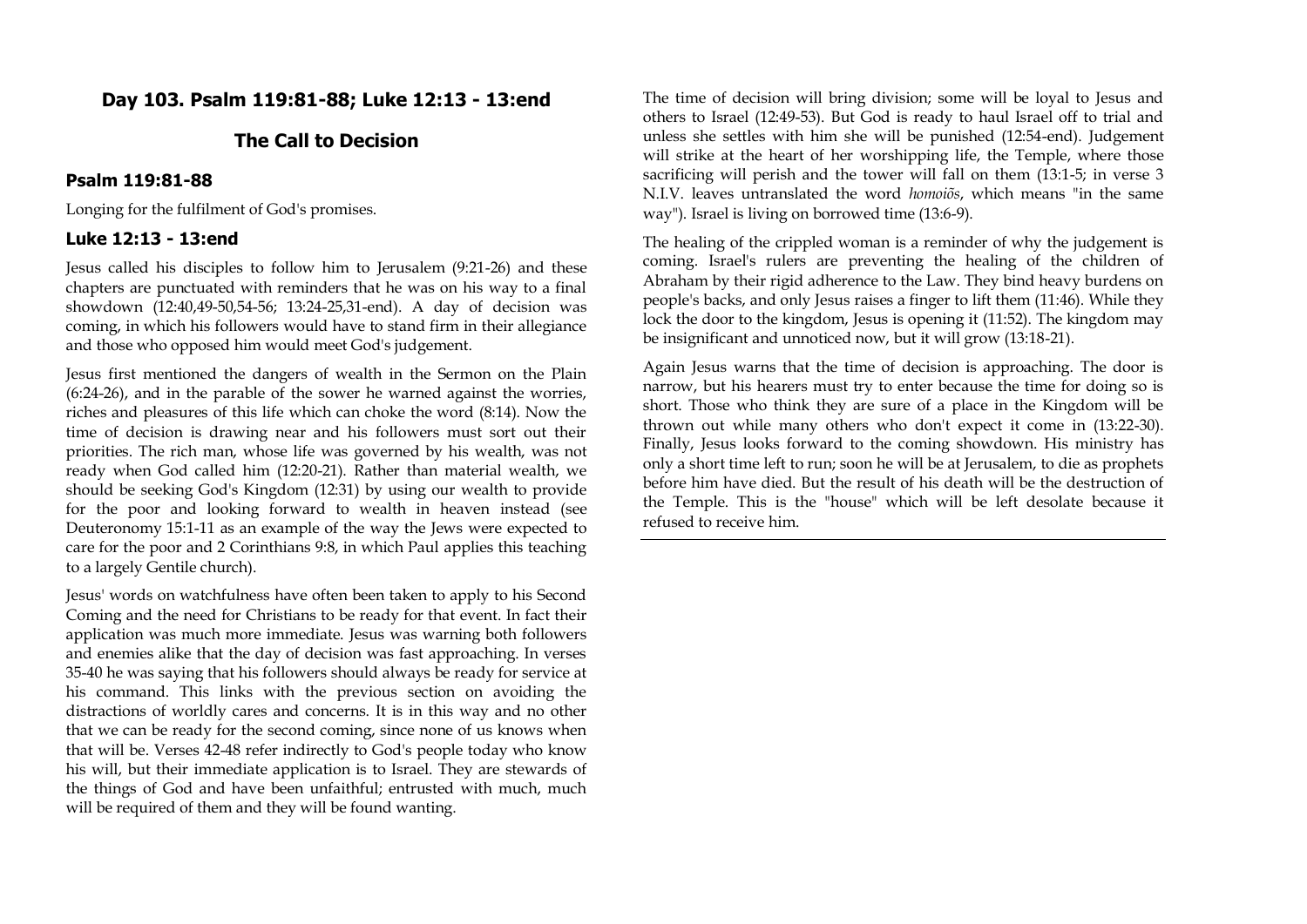# **Day 103. Psalm 119:81-88; Luke 12:13 - 13:end**

## **The Call to Decision**

### **Psalm 119:81-88**

Longing for the fulfilment of God's promises.

#### **Luke 12:13 - 13:end**

Jesus called his disciples to follow him to Jerusalem (9:21-26) and these chapters are punctuated with reminders that he was on his way to a final showdown (12:40,49-50,54-56; 13:24-25,31-end). A day of decision was coming, in which his followers would have to stand firm in their allegiance and those who opposed him would meet God's judgement.

Jesus first mentioned the dangers of wealth in the Sermon on the Plain (6:24-26), and in the parable of the sower he warned against the worries, riches and pleasures of this life which can choke the word (8:14). Now the time of decision is drawing near and his followers must sort out their priorities. The rich man, whose life was governed by his wealth, was not ready when God called him (12:20-21). Rather than material wealth, we should be seeking God's Kingdom (12:31) by using our wealth to provide for the poor and looking forward to wealth in heaven instead (see Deuteronomy 15:1-11 as an example of the way the Jews were expected to care for the poor and 2 Corinthians 9:8, in which Paul applies this teaching to a largely Gentile church).

Jesus' words on watchfulness have often been taken to apply to his Second Coming and the need for Christians to be ready for that event. In fact their application was much more immediate. Jesus was warning both followers and enemies alike that the day of decision was fast approaching. In verses 35-40 he was saying that his followers should always be ready for service at his command. This links with the previous section on avoiding the distractions of worldly cares and concerns. It is in this way and no other that we can be ready for the second coming, since none of us knows when that will be. Verses 42-48 refer indirectly to God's people today who know his will, but their immediate application is to Israel. They are stewards of the things of God and have been unfaithful; entrusted with much, much will be required of them and they will be found wanting.

The time of decision will bring division; some will be loyal to Jesus and others to Israel (12:49-53). But God is ready to haul Israel off to trial and unless she settles with him she will be punished (12:54-end). Judgement will strike at the heart of her worshipping life, the Temple, where those sacrificing will perish and the tower will fall on them (13:1-5; in verse 3 N.I.V. leaves untranslated the word *homoiõs*, which means "in the same way"). Israel is living on borrowed time (13:6-9).

The healing of the crippled woman is a reminder of why the judgement is coming. Israel's rulers are preventing the healing of the children of Abraham by their rigid adherence to the Law. They bind heavy burdens on people's backs, and only Jesus raises a finger to lift them (11:46). While they lock the door to the kingdom, Jesus is opening it (11:52). The kingdom may be insignificant and unnoticed now, but it will grow (13:18-21).

Again Jesus warns that the time of decision is approaching. The door is narrow, but his hearers must try to enter because the time for doing so is short. Those who think they are sure of a place in the Kingdom will be thrown out while many others who don't expect it come in (13:22-30). Finally, Jesus looks forward to the coming showdown. His ministry has only a short time left to run; soon he will be at Jerusalem, to die as prophets before him have died. But the result of his death will be the destruction of the Temple. This is the "house" which will be left desolate because it refused to receive him.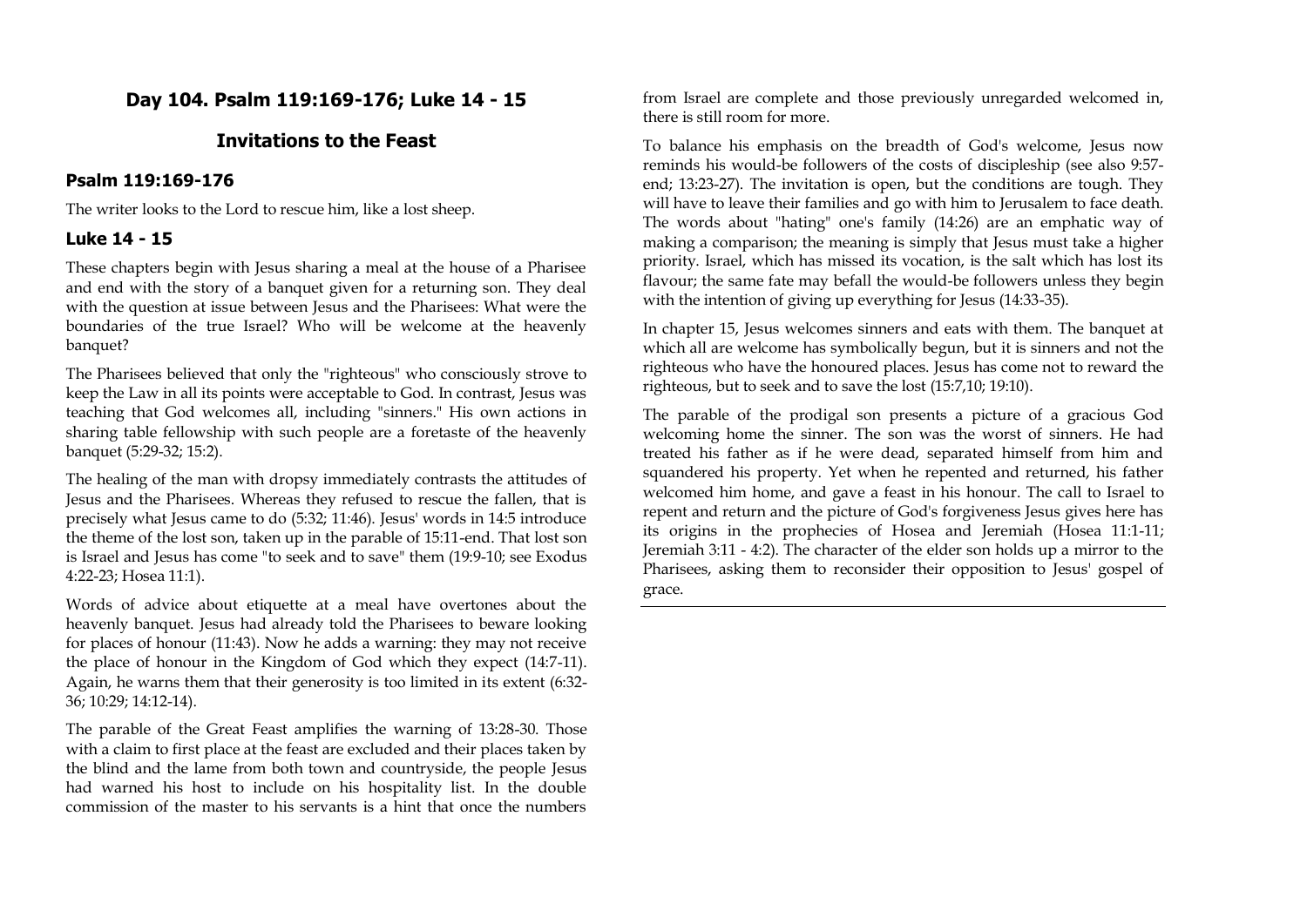# **Day 104. Psalm 119:169-176; Luke 14 - 15**

### **Invitations to the Feast**

#### **Psalm 119:169-176**

The writer looks to the Lord to rescue him, like a lost sheep.

#### **Luke 14 - 15**

These chapters begin with Jesus sharing a meal at the house of a Pharisee and end with the story of a banquet given for a returning son. They deal with the question at issue between Jesus and the Pharisees: What were the boundaries of the true Israel? Who will be welcome at the heavenly banquet?

The Pharisees believed that only the "righteous" who consciously strove to keep the Law in all its points were acceptable to God. In contrast, Jesus was teaching that God welcomes all, including "sinners." His own actions in sharing table fellowship with such people are a foretaste of the heavenly banquet (5:29-32; 15:2).

The healing of the man with dropsy immediately contrasts the attitudes of Jesus and the Pharisees. Whereas they refused to rescue the fallen, that is precisely what Jesus came to do (5:32; 11:46). Jesus' words in 14:5 introduce the theme of the lost son, taken up in the parable of 15:11-end. That lost son is Israel and Jesus has come "to seek and to save" them (19:9-10; see Exodus 4:22-23; Hosea 11:1).

Words of advice about etiquette at a meal have overtones about the heavenly banquet. Jesus had already told the Pharisees to beware looking for places of honour (11:43). Now he adds a warning: they may not receive the place of honour in the Kingdom of God which they expect (14:7-11). Again, he warns them that their generosity is too limited in its extent (6:32- 36; 10:29; 14:12-14).

The parable of the Great Feast amplifies the warning of 13:28-30. Those with a claim to first place at the feast are excluded and their places taken by the blind and the lame from both town and countryside, the people Jesus had warned his host to include on his hospitality list. In the double commission of the master to his servants is a hint that once the numbers from Israel are complete and those previously unregarded welcomed in, there is still room for more.

To balance his emphasis on the breadth of God's welcome, Jesus now reminds his would-be followers of the costs of discipleship (see also 9:57 end; 13:23-27). The invitation is open, but the conditions are tough. They will have to leave their families and go with him to Jerusalem to face death. The words about "hating" one's family (14:26) are an emphatic way of making a comparison; the meaning is simply that Jesus must take a higher priority. Israel, which has missed its vocation, is the salt which has lost its flavour; the same fate may befall the would-be followers unless they begin with the intention of giving up everything for Jesus (14:33-35).

In chapter 15, Jesus welcomes sinners and eats with them. The banquet at which all are welcome has symbolically begun, but it is sinners and not the righteous who have the honoured places. Jesus has come not to reward the righteous, but to seek and to save the lost (15:7,10; 19:10).

The parable of the prodigal son presents a picture of a gracious God welcoming home the sinner. The son was the worst of sinners. He had treated his father as if he were dead, separated himself from him and squandered his property. Yet when he repented and returned, his father welcomed him home, and gave a feast in his honour. The call to Israel to repent and return and the picture of God's forgiveness Jesus gives here has its origins in the prophecies of Hosea and Jeremiah (Hosea 11:1-11; Jeremiah 3:11 - 4:2). The character of the elder son holds up a mirror to the Pharisees, asking them to reconsider their opposition to Jesus' gospel of grace.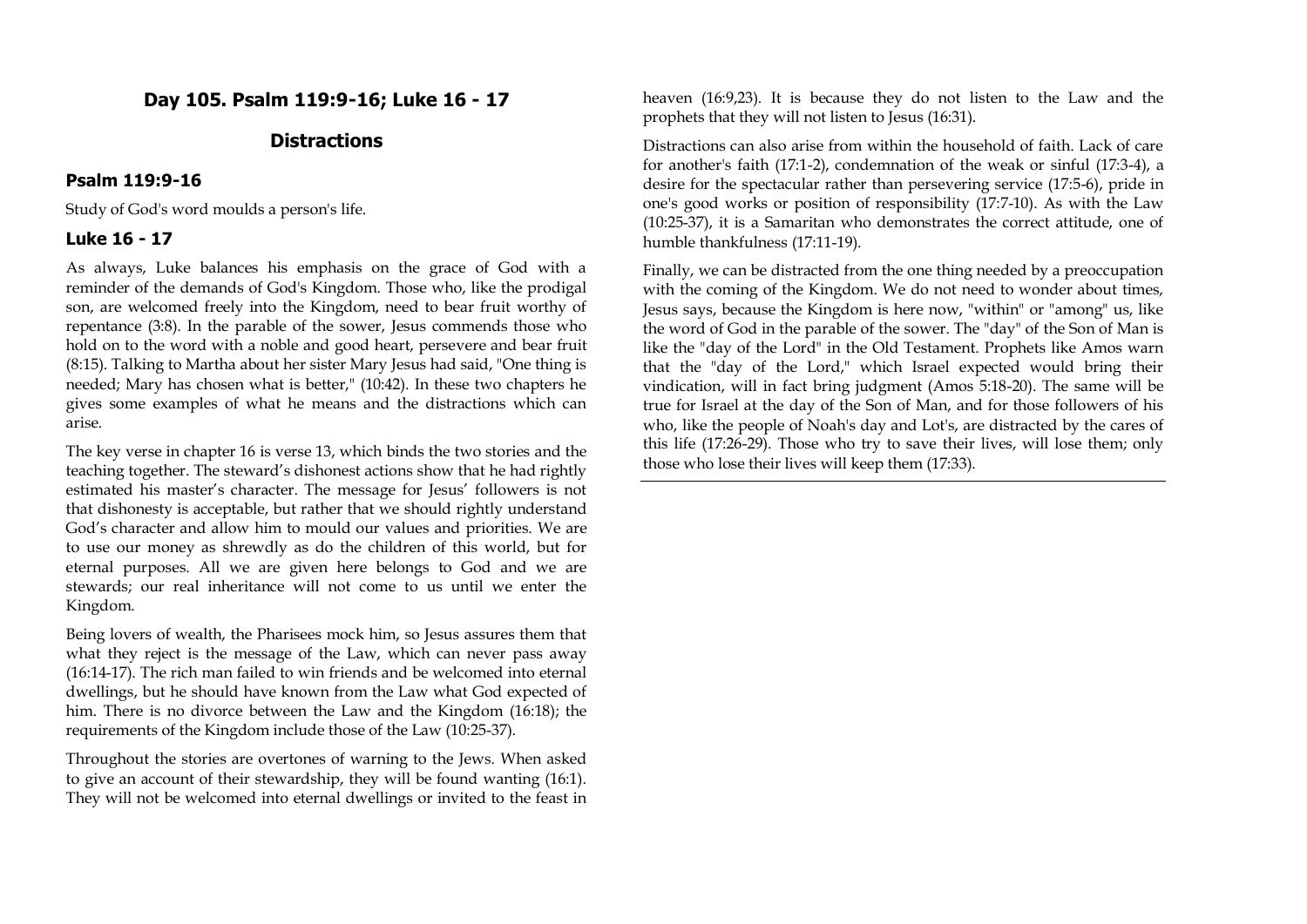# **Day 105. Psalm 119:9-16; Luke 16 - 17**

## **Distractions**

#### **Psalm 119:9-16**

Study of God's word moulds a person's life.

#### **Luke 16 - 17**

As always, Luke balances his emphasis on the grace of God with a reminder of the demands of God's Kingdom. Those who, like the prodigal son, are welcomed freely into the Kingdom, need to bear fruit worthy of repentance (3:8). In the parable of the sower, Jesus commends those who hold on to the word with a noble and good heart, persevere and bear fruit (8:15). Talking to Martha about her sister Mary Jesus had said, "One thing is needed; Mary has chosen what is better," (10:42). In these two chapters he gives some examples of what he means and the distractions which can arise.

The key verse in chapter 16 is verse 13, which binds the two stories and the teaching together. The steward's dishonest actions show that he had rightly estimated his master's character. The message for Jesus' followers is not that dishonesty is acceptable, but rather that we should rightly understand God's character and allow him to mould our values and priorities. We are to use our money as shrewdly as do the children of this world, but for eternal purposes. All we are given here belongs to God and we are stewards; our real inheritance will not come to us until we enter the Kingdom.

Being lovers of wealth, the Pharisees mock him, so Jesus assures them that what they reject is the message of the Law, which can never pass away (16:14-17). The rich man failed to win friends and be welcomed into eternal dwellings, but he should have known from the Law what God expected of him. There is no divorce between the Law and the Kingdom (16:18); the requirements of the Kingdom include those of the Law (10:25-37).

Throughout the stories are overtones of warning to the Jews. When asked to give an account of their stewardship, they will be found wanting (16:1). They will not be welcomed into eternal dwellings or invited to the feast in heaven (16:9,23). It is because they do not listen to the Law and the prophets that they will not listen to Jesus (16:31).

Distractions can also arise from within the household of faith. Lack of care for another's faith (17:1-2), condemnation of the weak or sinful (17:3-4), a desire for the spectacular rather than persevering service (17:5-6), pride in one's good works or position of responsibility (17:7-10). As with the Law (10:25-37), it is a Samaritan who demonstrates the correct attitude, one of humble thankfulness (17:11-19).

Finally, we can be distracted from the one thing needed by a preoccupation with the coming of the Kingdom. We do not need to wonder about times, Jesus says, because the Kingdom is here now, "within" or "among" us, like the word of God in the parable of the sower. The "day" of the Son of Man is like the "day of the Lord" in the Old Testament. Prophets like Amos warn that the "day of the Lord," which Israel expected would bring their vindication, will in fact bring judgment (Amos 5:18-20). The same will be true for Israel at the day of the Son of Man, and for those followers of his who, like the people of Noah's day and Lot's, are distracted by the cares of this life (17:26-29). Those who try to save their lives, will lose them; only those who lose their lives will keep them (17:33).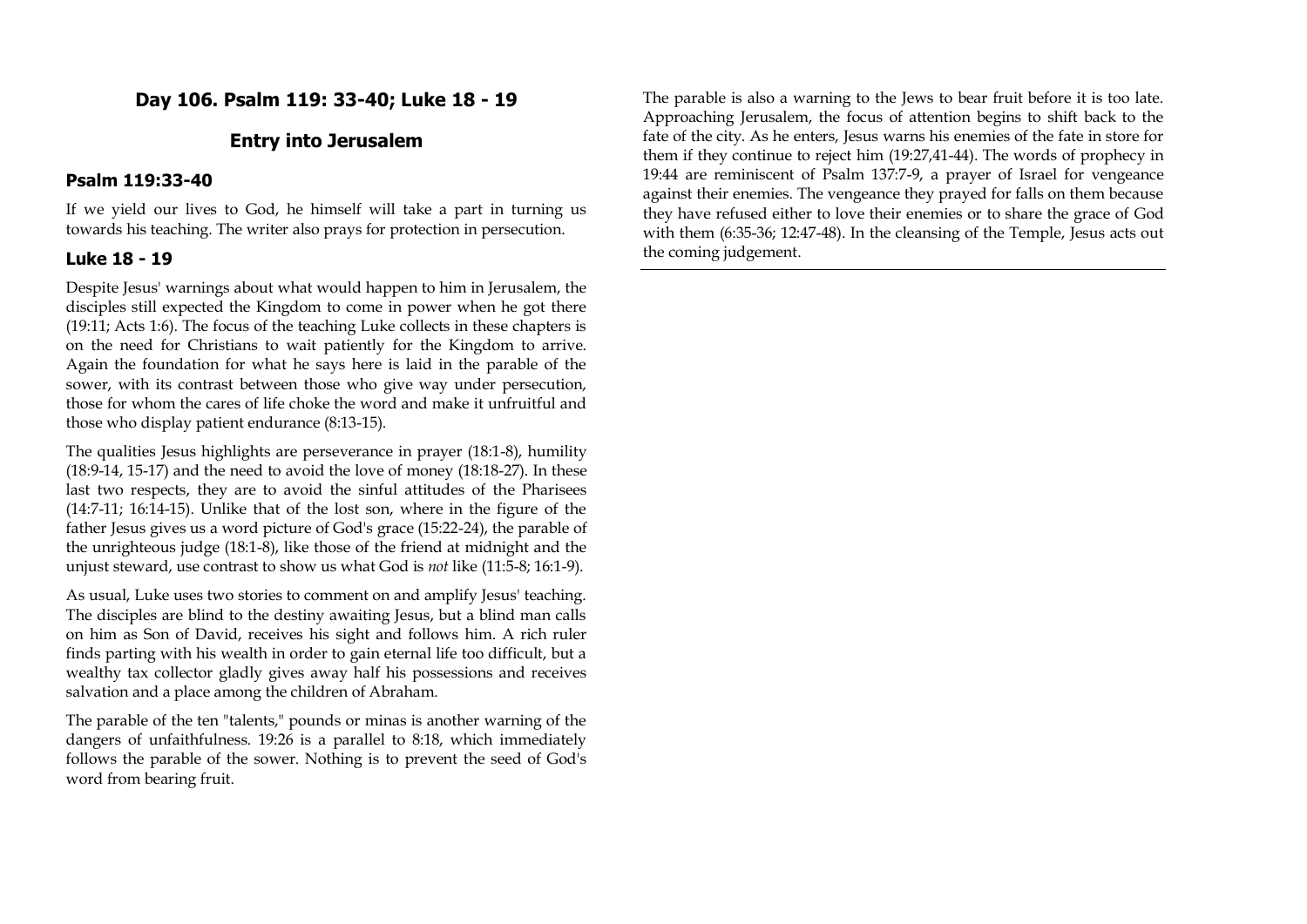# **Day 106. Psalm 119: 33-40; Luke 18 - 19**

## **Entry into Jerusalem**

### **Psalm 119:33-40**

If we yield our lives to God, he himself will take a part in turning us towards his teaching. The writer also prays for protection in persecution.

## **Luke 18 - 19**

Despite Jesus' warnings about what would happen to him in Jerusalem, the disciples still expected the Kingdom to come in power when he got there (19:11; Acts 1:6). The focus of the teaching Luke collects in these chapters is on the need for Christians to wait patiently for the Kingdom to arrive. Again the foundation for what he says here is laid in the parable of the sower, with its contrast between those who give way under persecution, those for whom the cares of life choke the word and make it unfruitful and those who display patient endurance (8:13-15).

The qualities Jesus highlights are perseverance in prayer (18:1-8), humility (18:9-14, 15-17) and the need to avoid the love of money (18:18-27). In these last two respects, they are to avoid the sinful attitudes of the Pharisees (14:7-11; 16:14-15). Unlike that of the lost son, where in the figure of the father Jesus gives us a word picture of God's grace (15:22-24), the parable of the unrighteous judge (18:1-8), like those of the friend at midnight and the unjust steward, use contrast to show us what God is *not* like (11:5-8; 16:1-9).

As usual, Luke uses two stories to comment on and amplify Jesus' teaching. The disciples are blind to the destiny awaiting Jesus, but a blind man calls on him as Son of David, receives his sight and follows him. A rich ruler finds parting with his wealth in order to gain eternal life too difficult, but a wealthy tax collector gladly gives away half his possessions and receives salvation and a place among the children of Abraham.

The parable of the ten "talents," pounds or minas is another warning of the dangers of unfaithfulness. 19:26 is a parallel to 8:18, which immediately follows the parable of the sower. Nothing is to prevent the seed of God's word from bearing fruit.

The parable is also a warning to the Jews to bear fruit before it is too late. Approaching Jerusalem, the focus of attention begins to shift back to the fate of the city. As he enters, Jesus warns his enemies of the fate in store for them if they continue to reject him (19:27,41-44). The words of prophecy in 19:44 are reminiscent of Psalm 137:7-9, a prayer of Israel for vengeance against their enemies. The vengeance they prayed for falls on them because they have refused either to love their enemies or to share the grace of God with them (6:35-36; 12:47-48). In the cleansing of the Temple, Jesus acts out the coming judgement.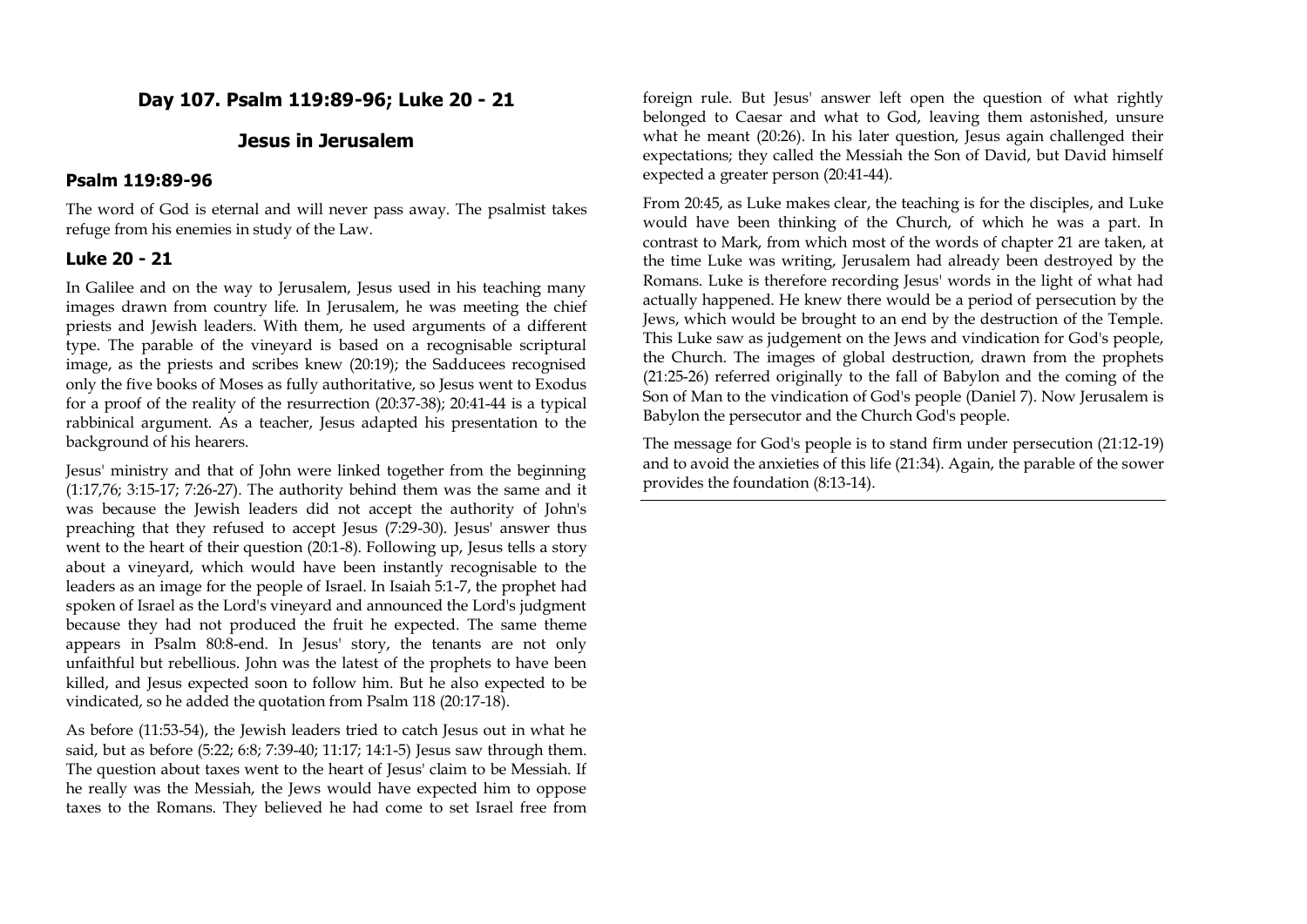# **Day 107. Psalm 119:89-96; Luke 20 - 21**

### **Jesus in Jerusalem**

### **Psalm 119:89-96**

The word of God is eternal and will never pass away. The psalmist takes refuge from his enemies in study of the Law.

### **Luke 20 - 21**

In Galilee and on the way to Jerusalem, Jesus used in his teaching many images drawn from country life. In Jerusalem, he was meeting the chief priests and Jewish leaders. With them, he used arguments of a different type. The parable of the vineyard is based on a recognisable scriptural image, as the priests and scribes knew (20:19); the Sadducees recognised only the five books of Moses as fully authoritative, so Jesus went to Exodus for a proof of the reality of the resurrection (20:37-38); 20:41-44 is a typical rabbinical argument. As a teacher, Jesus adapted his presentation to the background of his hearers.

Jesus' ministry and that of John were linked together from the beginning (1:17,76; 3:15-17; 7:26-27). The authority behind them was the same and it was because the Jewish leaders did not accept the authority of John's preaching that they refused to accept Jesus (7:29-30). Jesus' answer thus went to the heart of their question (20:1-8). Following up, Jesus tells a story about a vineyard, which would have been instantly recognisable to the leaders as an image for the people of Israel. In Isaiah 5:1-7, the prophet had spoken of Israel as the Lord's vineyard and announced the Lord's judgment because they had not produced the fruit he expected. The same theme appears in Psalm 80:8-end. In Jesus' story, the tenants are not only unfaithful but rebellious. John was the latest of the prophets to have been killed, and Jesus expected soon to follow him. But he also expected to be vindicated, so he added the quotation from Psalm 118 (20:17-18).

As before (11:53-54), the Jewish leaders tried to catch Jesus out in what he said, but as before (5:22; 6:8; 7:39-40; 11:17; 14:1-5) Jesus saw through them. The question about taxes went to the heart of Jesus' claim to be Messiah. If he really was the Messiah, the Jews would have expected him to oppose taxes to the Romans. They believed he had come to set Israel free from

foreign rule. But Jesus' answer left open the question of what rightly belonged to Caesar and what to God, leaving them astonished, unsure what he meant (20:26). In his later question, Jesus again challenged their expectations; they called the Messiah the Son of David, but David himself expected a greater person (20:41-44).

From 20:45, as Luke makes clear, the teaching is for the disciples, and Luke would have been thinking of the Church, of which he was a part. In contrast to Mark, from which most of the words of chapter 21 are taken, at the time Luke was writing, Jerusalem had already been destroyed by the Romans. Luke is therefore recording Jesus' words in the light of what had actually happened. He knew there would be a period of persecution by the Jews, which would be brought to an end by the destruction of the Temple. This Luke saw as judgement on the Jews and vindication for God's people, the Church. The images of global destruction, drawn from the prophets (21:25-26) referred originally to the fall of Babylon and the coming of the Son of Man to the vindication of God's people (Daniel 7). Now Jerusalem is Babylon the persecutor and the Church God's people.

The message for God's people is to stand firm under persecution (21:12-19) and to avoid the anxieties of this life (21:34). Again, the parable of the sower provides the foundation (8:13-14).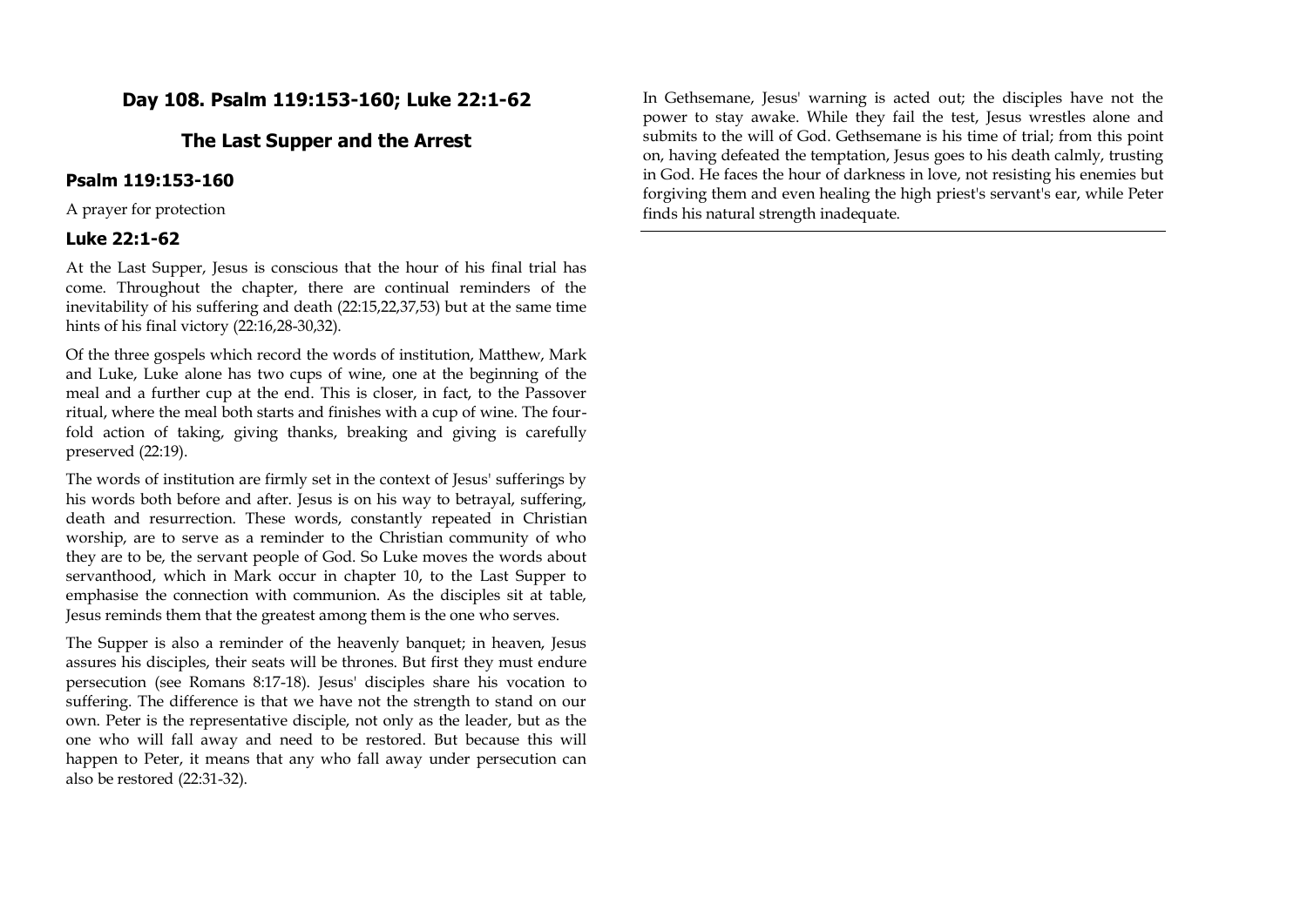# **Day 108. Psalm 119:153-160; Luke 22:1-62**

## **The Last Supper and the Arrest**

### **Psalm 119:153-160**

A prayer for protection

#### **Luke 22:1-62**

At the Last Supper, Jesus is conscious that the hour of his final trial has come. Throughout the chapter, there are continual reminders of the inevitability of his suffering and death (22:15,22,37,53) but at the same time hints of his final victory (22:16,28-30,32).

Of the three gospels which record the words of institution, Matthew, Mark and Luke, Luke alone has two cups of wine, one at the beginning of the meal and a further cup at the end. This is closer, in fact, to the Passover ritual, where the meal both starts and finishes with a cup of wine. The fourfold action of taking, giving thanks, breaking and giving is carefully preserved (22:19).

The words of institution are firmly set in the context of Jesus' sufferings by his words both before and after. Jesus is on his way to betrayal, suffering, death and resurrection. These words, constantly repeated in Christian worship, are to serve as a reminder to the Christian community of who they are to be, the servant people of God. So Luke moves the words about servanthood, which in Mark occur in chapter 10, to the Last Supper to emphasise the connection with communion. As the disciples sit at table, Jesus reminds them that the greatest among them is the one who serves.

The Supper is also a reminder of the heavenly banquet; in heaven, Jesus assures his disciples, their seats will be thrones. But first they must endure persecution (see Romans 8:17-18). Jesus' disciples share his vocation to suffering. The difference is that we have not the strength to stand on our own. Peter is the representative disciple, not only as the leader, but as the one who will fall away and need to be restored. But because this will happen to Peter, it means that any who fall away under persecution can also be restored (22:31-32).

In Gethsemane, Jesus' warning is acted out; the disciples have not the power to stay awake. While they fail the test, Jesus wrestles alone and submits to the will of God. Gethsemane is his time of trial; from this point on, having defeated the temptation, Jesus goes to his death calmly, trusting in God. He faces the hour of darkness in love, not resisting his enemies but forgiving them and even healing the high priest's servant's ear, while Peter finds his natural strength inadequate.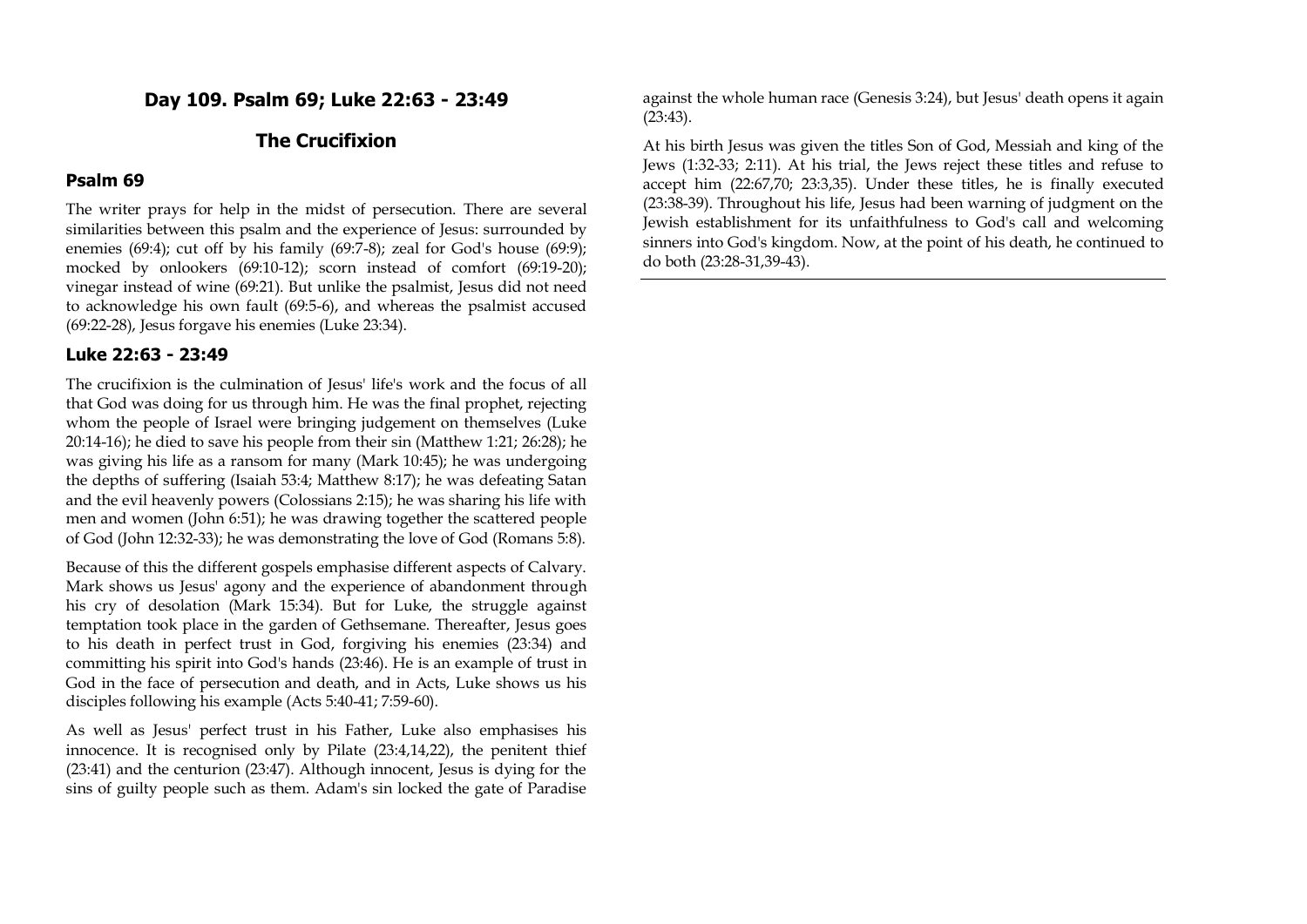## **Day 109. Psalm 69; Luke 22:63 - 23:49**

# **The Crucifixion**

### **Psalm 69**

The writer prays for help in the midst of persecution. There are several similarities between this psalm and the experience of Jesus: surrounded by enemies (69:4); cut off by his family (69:7-8); zeal for God's house (69:9); mocked by onlookers (69:10-12); scorn instead of comfort (69:19-20); vinegar instead of wine (69:21). But unlike the psalmist, Jesus did not need to acknowledge his own fault (69:5-6), and whereas the psalmist accused (69:22-28), Jesus forgave his enemies (Luke 23:34).

#### **Luke 22:63 - 23:49**

The crucifixion is the culmination of Jesus' life's work and the focus of all that God was doing for us through him. He was the final prophet, rejecting whom the people of Israel were bringing judgement on themselves (Luke 20:14-16); he died to save his people from their sin (Matthew 1:21; 26:28); he was giving his life as a ransom for many (Mark 10:45); he was undergoing the depths of suffering (Isaiah 53:4; Matthew 8:17); he was defeating Satan and the evil heavenly powers (Colossians 2:15); he was sharing his life with men and women (John 6:51); he was drawing together the scattered people of God (John 12:32-33); he was demonstrating the love of God (Romans 5:8).

Because of this the different gospels emphasise different aspects of Calvary. Mark shows us Jesus' agony and the experience of abandonment through his cry of desolation (Mark 15:34). But for Luke, the struggle against temptation took place in the garden of Gethsemane. Thereafter, Jesus goes to his death in perfect trust in God, forgiving his enemies (23:34) and committing his spirit into God's hands (23:46). He is an example of trust in God in the face of persecution and death, and in Acts, Luke shows us his disciples following his example (Acts 5:40-41; 7:59-60).

As well as Jesus' perfect trust in his Father, Luke also emphasises his innocence. It is recognised only by Pilate (23:4,14,22), the penitent thief (23:41) and the centurion (23:47). Although innocent, Jesus is dying for the sins of guilty people such as them. Adam's sin locked the gate of Paradise against the whole human race (Genesis 3:24), but Jesus' death opens it again (23:43).

At his birth Jesus was given the titles Son of God, Messiah and king of the Jews (1:32-33; 2:11). At his trial, the Jews reject these titles and refuse to accept him (22:67,70; 23:3,35). Under these titles, he is finally executed (23:38-39). Throughout his life, Jesus had been warning of judgment on the Jewish establishment for its unfaithfulness to God's call and welcoming sinners into God's kingdom. Now, at the point of his death, he continued to do both (23:28-31,39-43).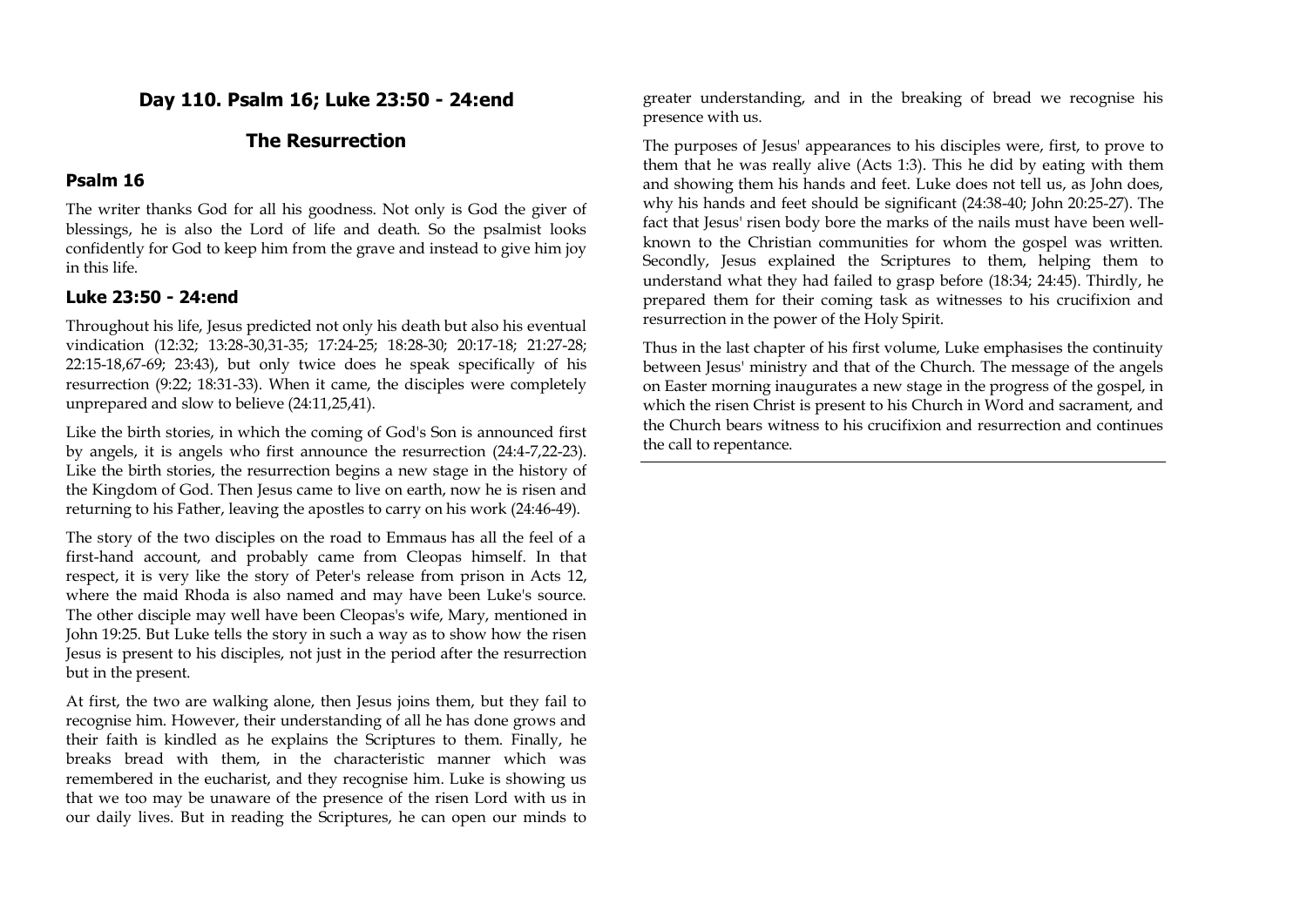# **Day 110. Psalm 16; Luke 23:50 - 24:end**

# **The Resurrection**

## **Psalm 16**

The writer thanks God for all his goodness. Not only is God the giver of blessings, he is also the Lord of life and death. So the psalmist looks confidently for God to keep him from the grave and instead to give him joy in this life.

## **Luke 23:50 - 24:end**

Throughout his life, Jesus predicted not only his death but also his eventual vindication (12:32; 13:28-30,31-35; 17:24-25; 18:28-30; 20:17-18; 21:27-28; 22:15-18,67-69; 23:43), but only twice does he speak specifically of his resurrection (9:22; 18:31-33). When it came, the disciples were completely unprepared and slow to believe (24:11,25,41).

Like the birth stories, in which the coming of God's Son is announced first by angels, it is angels who first announce the resurrection (24:4-7,22-23). Like the birth stories, the resurrection begins a new stage in the history of the Kingdom of God. Then Jesus came to live on earth, now he is risen and returning to his Father, leaving the apostles to carry on his work (24:46-49).

The story of the two disciples on the road to Emmaus has all the feel of a first-hand account, and probably came from Cleopas himself. In that respect, it is very like the story of Peter's release from prison in Acts 12, where the maid Rhoda is also named and may have been Luke's source. The other disciple may well have been Cleopas's wife, Mary, mentioned in John 19:25. But Luke tells the story in such a way as to show how the risen Jesus is present to his disciples, not just in the period after the resurrection but in the present.

At first, the two are walking alone, then Jesus joins them, but they fail to recognise him. However, their understanding of all he has done grows and their faith is kindled as he explains the Scriptures to them. Finally, he breaks bread with them, in the characteristic manner which was remembered in the eucharist, and they recognise him. Luke is showing us that we too may be unaware of the presence of the risen Lord with us in our daily lives. But in reading the Scriptures, he can open our minds to greater understanding, and in the breaking of bread we recognise his presence with us.

The purposes of Jesus' appearances to his disciples were, first, to prove to them that he was really alive (Acts 1:3). This he did by eating with them and showing them his hands and feet. Luke does not tell us, as John does, why his hands and feet should be significant (24:38-40; John 20:25-27). The fact that Jesus' risen body bore the marks of the nails must have been wellknown to the Christian communities for whom the gospel was written. Secondly, Jesus explained the Scriptures to them, helping them to understand what they had failed to grasp before (18:34; 24:45). Thirdly, he prepared them for their coming task as witnesses to his crucifixion and resurrection in the power of the Holy Spirit.

Thus in the last chapter of his first volume, Luke emphasises the continuity between Jesus' ministry and that of the Church. The message of the angels on Easter morning inaugurates a new stage in the progress of the gospel, in which the risen Christ is present to his Church in Word and sacrament, and the Church bears witness to his crucifixion and resurrection and continues the call to repentance.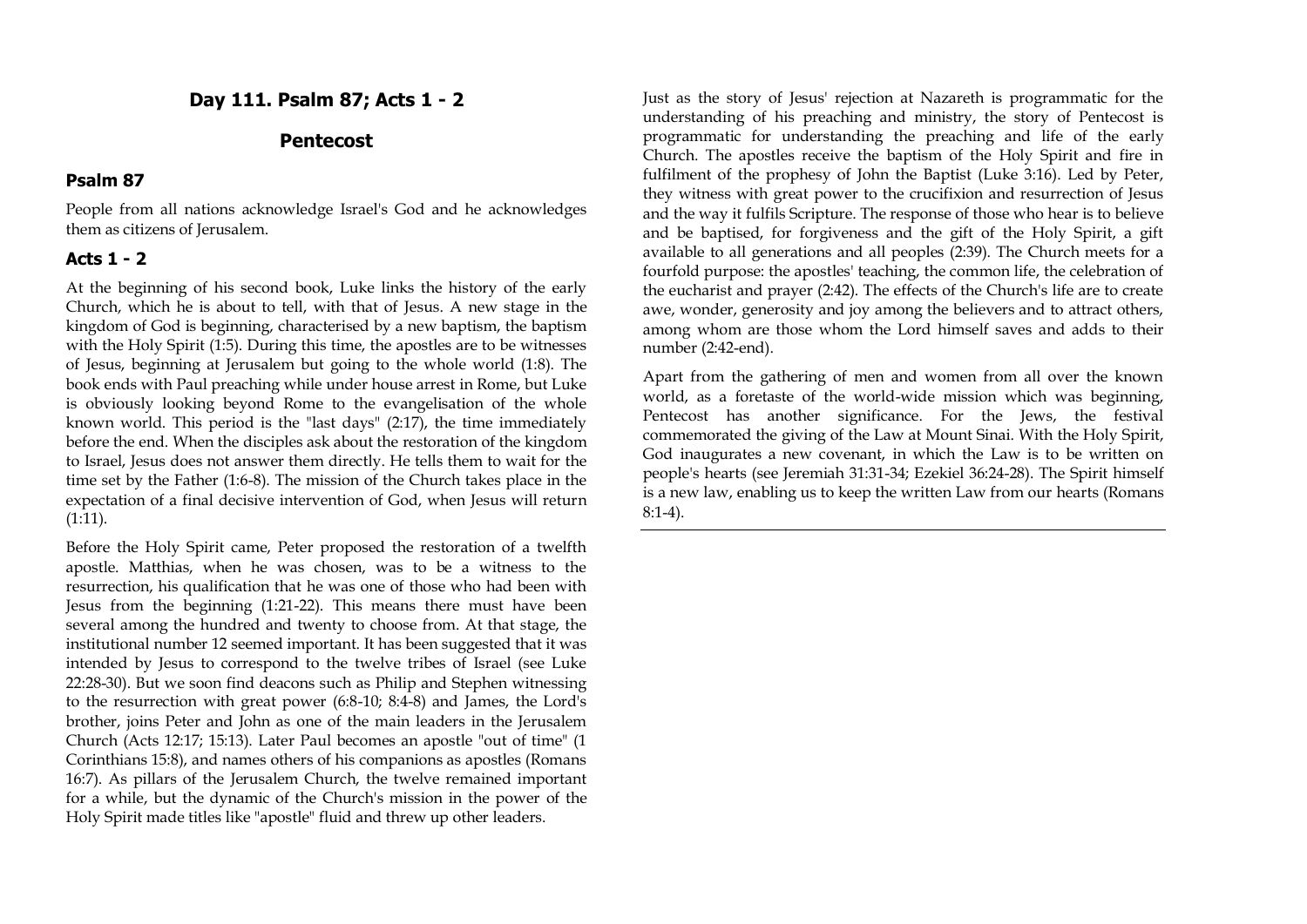## **Day 111. Psalm 87; Acts 1 - 2**

#### **Pentecost**

#### **Psalm 87**

People from all nations acknowledge Israel's God and he acknowledges them as citizens of Jerusalem.

### **Acts 1 - 2**

At the beginning of his second book, Luke links the history of the early Church, which he is about to tell, with that of Jesus. A new stage in the kingdom of God is beginning, characterised by a new baptism, the baptism with the Holy Spirit (1:5). During this time, the apostles are to be witnesses of Jesus, beginning at Jerusalem but going to the whole world (1:8). The book ends with Paul preaching while under house arrest in Rome, but Luke is obviously looking beyond Rome to the evangelisation of the whole known world. This period is the "last days" (2:17), the time immediately before the end. When the disciples ask about the restoration of the kingdom to Israel, Jesus does not answer them directly. He tells them to wait for the time set by the Father (1:6-8). The mission of the Church takes place in the expectation of a final decisive intervention of God, when Jesus will return (1:11).

Before the Holy Spirit came, Peter proposed the restoration of a twelfth apostle. Matthias, when he was chosen, was to be a witness to the resurrection, his qualification that he was one of those who had been with Jesus from the beginning (1:21-22). This means there must have been several among the hundred and twenty to choose from. At that stage, the institutional number 12 seemed important. It has been suggested that it was intended by Jesus to correspond to the twelve tribes of Israel (see Luke 22:28-30). But we soon find deacons such as Philip and Stephen witnessing to the resurrection with great power (6:8-10; 8:4-8) and James, the Lord's brother, joins Peter and John as one of the main leaders in the Jerusalem Church (Acts 12:17; 15:13). Later Paul becomes an apostle "out of time" (1 Corinthians 15:8), and names others of his companions as apostles (Romans 16:7). As pillars of the Jerusalem Church, the twelve remained important for a while, but the dynamic of the Church's mission in the power of the Holy Spirit made titles like "apostle" fluid and threw up other leaders.

Just as the story of Jesus' rejection at Nazareth is programmatic for the understanding of his preaching and ministry, the story of Pentecost is programmatic for understanding the preaching and life of the early Church. The apostles receive the baptism of the Holy Spirit and fire in fulfilment of the prophesy of John the Baptist (Luke 3:16). Led by Peter, they witness with great power to the crucifixion and resurrection of Jesus and the way it fulfils Scripture. The response of those who hear is to believe and be baptised, for forgiveness and the gift of the Holy Spirit, a gift available to all generations and all peoples (2:39). The Church meets for a fourfold purpose: the apostles' teaching, the common life, the celebration of the eucharist and prayer (2:42). The effects of the Church's life are to create awe, wonder, generosity and joy among the believers and to attract others, among whom are those whom the Lord himself saves and adds to their number (2:42-end).

Apart from the gathering of men and women from all over the known world, as a foretaste of the world-wide mission which was beginning, Pentecost has another significance. For the Jews, the festival commemorated the giving of the Law at Mount Sinai. With the Holy Spirit, God inaugurates a new covenant, in which the Law is to be written on people's hearts (see Jeremiah 31:31-34; Ezekiel 36:24-28). The Spirit himself is a new law, enabling us to keep the written Law from our hearts (Romans 8:1-4).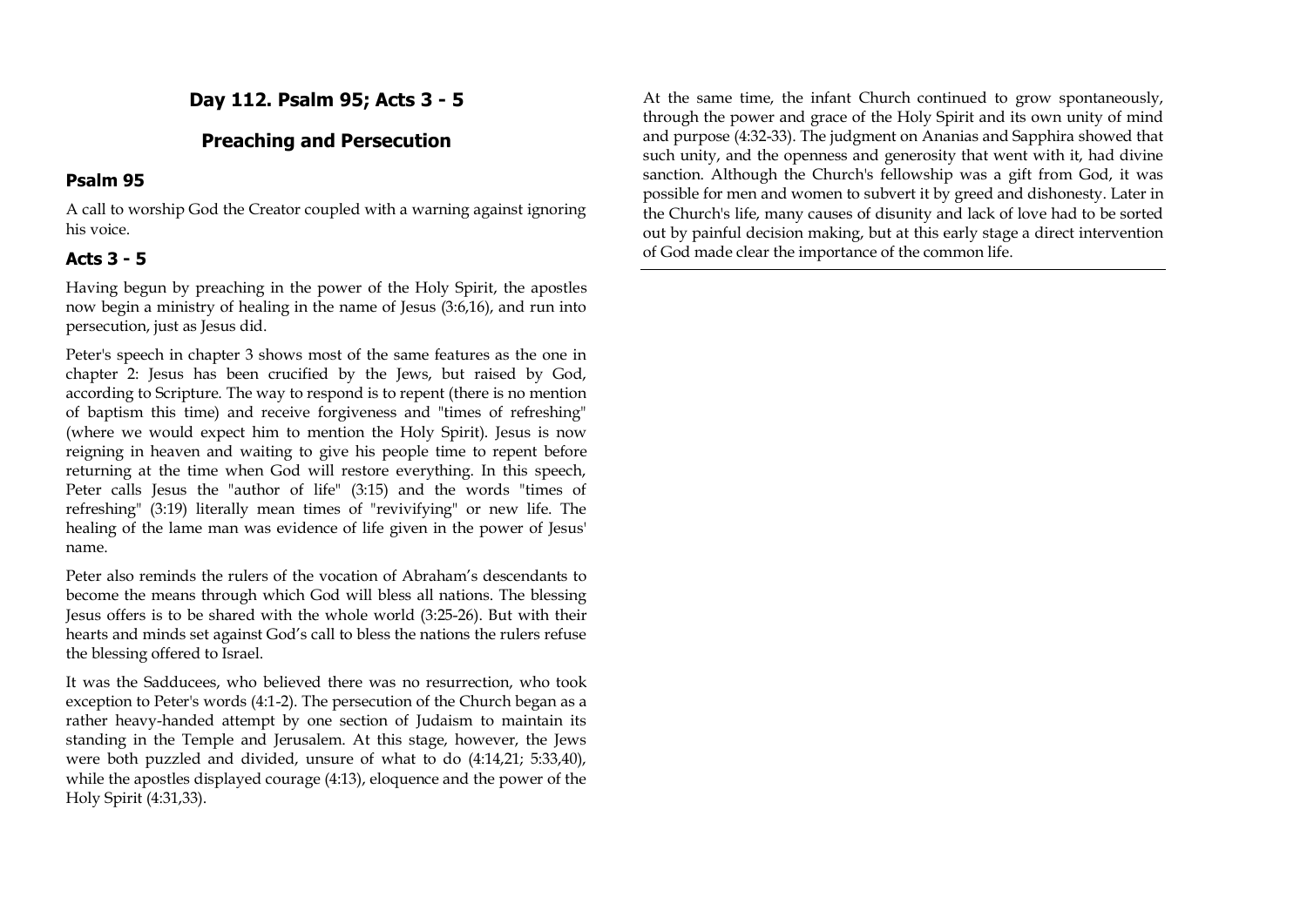# **Day 112. Psalm 95; Acts 3 - 5**

# **Preaching and Persecution**

## **Psalm 95**

A call to worship God the Creator coupled with a warning against ignoring his voice.

# **Acts 3 - 5**

Having begun by preaching in the power of the Holy Spirit, the apostles now begin a ministry of healing in the name of Jesus (3:6,16), and run into persecution, just as Jesus did.

Peter's speech in chapter 3 shows most of the same features as the one in chapter 2: Jesus has been crucified by the Jews, but raised by God, according to Scripture. The way to respond is to repent (there is no mention of baptism this time) and receive forgiveness and "times of refreshing" (where we would expect him to mention the Holy Spirit). Jesus is now reigning in heaven and waiting to give his people time to repent before returning at the time when God will restore everything. In this speech, Peter calls Jesus the "author of life" (3:15) and the words "times of refreshing" (3:19) literally mean times of "revivifying" or new life. The healing of the lame man was evidence of life given in the power of Jesus' name.

Peter also reminds the rulers of the vocation of Abraham's descendants to become the means through which God will bless all nations. The blessing Jesus offers is to be shared with the whole world (3:25-26). But with their hearts and minds set against God's call to bless the nations the rulers refuse the blessing offered to Israel.

It was the Sadducees, who believed there was no resurrection, who took exception to Peter's words (4:1-2). The persecution of the Church began as a rather heavy-handed attempt by one section of Judaism to maintain its standing in the Temple and Jerusalem. At this stage, however, the Jews were both puzzled and divided, unsure of what to do (4:14,21; 5:33,40), while the apostles displayed courage (4:13), eloquence and the power of the Holy Spirit (4:31,33).

At the same time, the infant Church continued to grow spontaneously, through the power and grace of the Holy Spirit and its own unity of mind and purpose (4:32-33). The judgment on Ananias and Sapphira showed that such unity, and the openness and generosity that went with it, had divine sanction. Although the Church's fellowship was a gift from God, it was possible for men and women to subvert it by greed and dishonesty. Later in the Church's life, many causes of disunity and lack of love had to be sorted out by painful decision making, but at this early stage a direct intervention of God made clear the importance of the common life.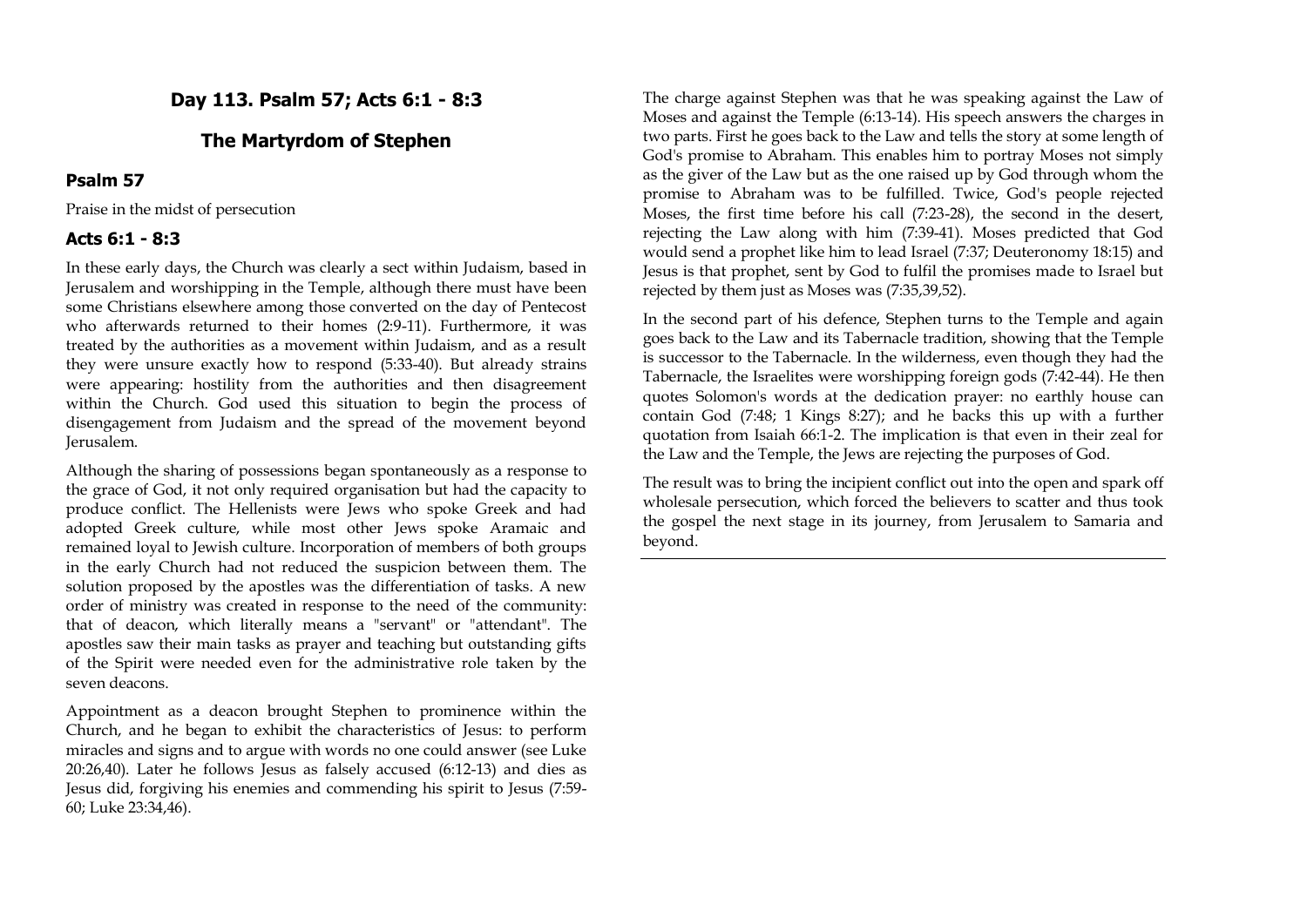# **Day 113. Psalm 57; Acts 6:1 - 8:3**

## **The Martyrdom of Stephen**

#### **Psalm 57**

Praise in the midst of persecution

#### **Acts 6:1 - 8:3**

In these early days, the Church was clearly a sect within Judaism, based in Jerusalem and worshipping in the Temple, although there must have been some Christians elsewhere among those converted on the day of Pentecost who afterwards returned to their homes (2:9-11). Furthermore, it was treated by the authorities as a movement within Judaism, and as a result they were unsure exactly how to respond (5:33-40). But already strains were appearing: hostility from the authorities and then disagreement within the Church. God used this situation to begin the process of disengagement from Judaism and the spread of the movement beyond Jerusalem.

Although the sharing of possessions began spontaneously as a response to the grace of God, it not only required organisation but had the capacity to produce conflict. The Hellenists were Jews who spoke Greek and had adopted Greek culture, while most other Jews spoke Aramaic and remained loyal to Jewish culture. Incorporation of members of both groups in the early Church had not reduced the suspicion between them. The solution proposed by the apostles was the differentiation of tasks. A new order of ministry was created in response to the need of the community: that of deacon, which literally means a "servant" or "attendant". The apostles saw their main tasks as prayer and teaching but outstanding gifts of the Spirit were needed even for the administrative role taken by the seven deacons.

Appointment as a deacon brought Stephen to prominence within the Church, and he began to exhibit the characteristics of Jesus: to perform miracles and signs and to argue with words no one could answer (see Luke 20:26,40). Later he follows Jesus as falsely accused (6:12-13) and dies as Jesus did, forgiving his enemies and commending his spirit to Jesus (7:59- 60; Luke 23:34,46).

The charge against Stephen was that he was speaking against the Law of Moses and against the Temple (6:13-14). His speech answers the charges in two parts. First he goes back to the Law and tells the story at some length of God's promise to Abraham. This enables him to portray Moses not simply as the giver of the Law but as the one raised up by God through whom the promise to Abraham was to be fulfilled. Twice, God's people rejected Moses, the first time before his call (7:23-28), the second in the desert, rejecting the Law along with him (7:39-41). Moses predicted that God would send a prophet like him to lead Israel (7:37; Deuteronomy 18:15) and Jesus is that prophet, sent by God to fulfil the promises made to Israel but rejected by them just as Moses was (7:35,39,52).

In the second part of his defence, Stephen turns to the Temple and again goes back to the Law and its Tabernacle tradition, showing that the Temple is successor to the Tabernacle. In the wilderness, even though they had the Tabernacle, the Israelites were worshipping foreign gods (7:42-44). He then quotes Solomon's words at the dedication prayer: no earthly house can contain God (7:48; 1 Kings 8:27); and he backs this up with a further quotation from Isaiah 66:1-2. The implication is that even in their zeal for the Law and the Temple, the Jews are rejecting the purposes of God.

The result was to bring the incipient conflict out into the open and spark off wholesale persecution, which forced the believers to scatter and thus took the gospel the next stage in its journey, from Jerusalem to Samaria and beyond.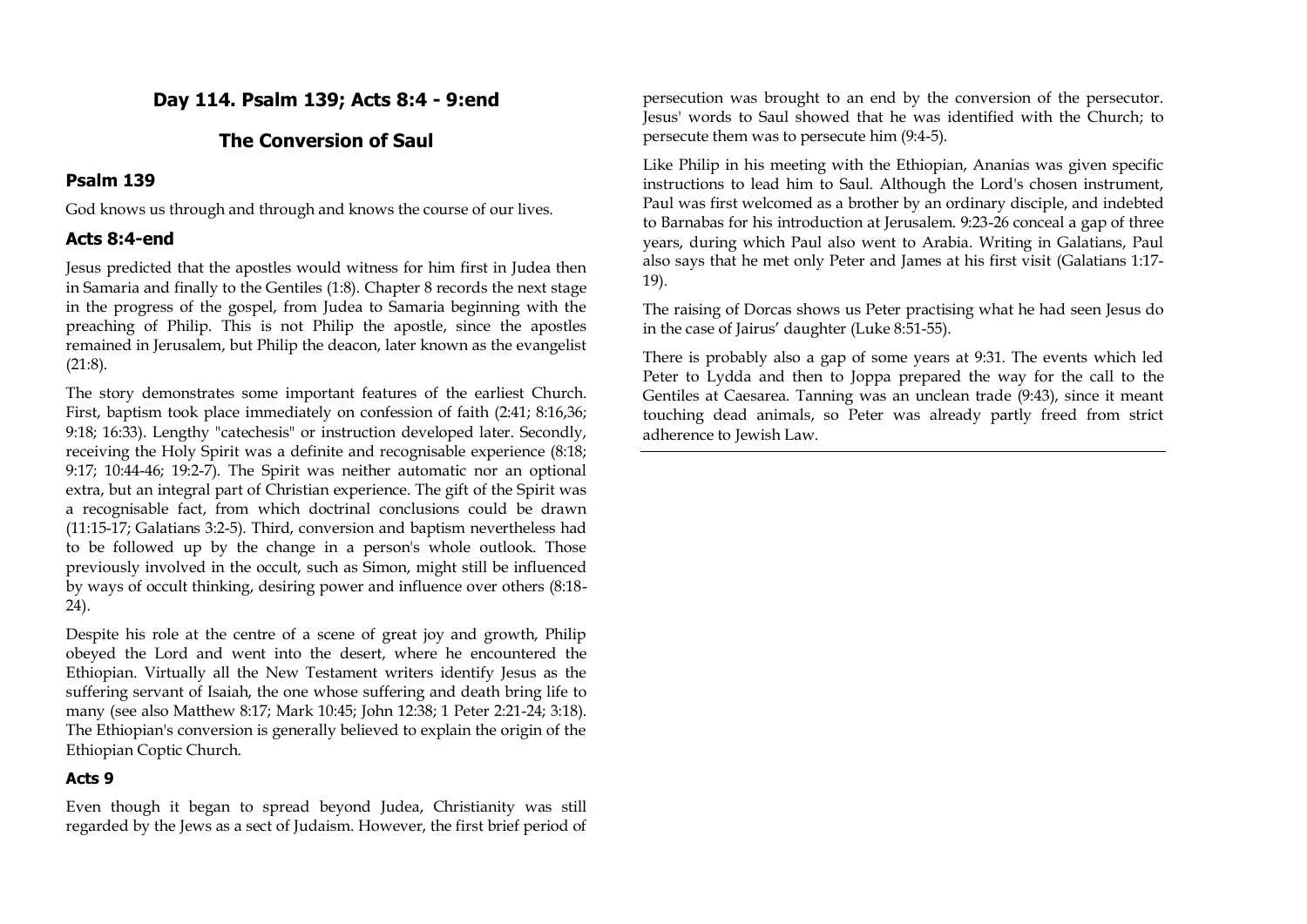# **Day 114. Psalm 139; Acts 8:4 - 9:end**

# **The Conversion of Saul**

## **Psalm 139**

God knows us through and through and knows the course of our lives.

### **Acts 8:4-end**

Jesus predicted that the apostles would witness for him first in Judea then in Samaria and finally to the Gentiles (1:8). Chapter 8 records the next stage in the progress of the gospel, from Judea to Samaria beginning with the preaching of Philip. This is not Philip the apostle, since the apostles remained in Jerusalem, but Philip the deacon, later known as the evangelist (21:8).

The story demonstrates some important features of the earliest Church. First, baptism took place immediately on confession of faith (2:41; 8:16,36; 9:18; 16:33). Lengthy "catechesis" or instruction developed later. Secondly, receiving the Holy Spirit was a definite and recognisable experience (8:18; 9:17; 10:44-46; 19:2-7). The Spirit was neither automatic nor an optional extra, but an integral part of Christian experience. The gift of the Spirit was a recognisable fact, from which doctrinal conclusions could be drawn (11:15-17; Galatians 3:2-5). Third, conversion and baptism nevertheless had to be followed up by the change in a person's whole outlook. Those previously involved in the occult, such as Simon, might still be influenced by ways of occult thinking, desiring power and influence over others (8:18- 24).

Despite his role at the centre of a scene of great joy and growth, Philip obeyed the Lord and went into the desert, where he encountered the Ethiopian. Virtually all the New Testament writers identify Jesus as the suffering servant of Isaiah, the one whose suffering and death bring life to many (see also Matthew 8:17; Mark 10:45; John 12:38; 1 Peter 2:21-24; 3:18). The Ethiopian's conversion is generally believed to explain the origin of the Ethiopian Coptic Church.

### **Acts 9**

Even though it began to spread beyond Judea, Christianity was still regarded by the Jews as a sect of Judaism. However, the first brief period of persecution was brought to an end by the conversion of the persecutor. Jesus' words to Saul showed that he was identified with the Church; to persecute them was to persecute him (9:4-5).

Like Philip in his meeting with the Ethiopian, Ananias was given specific instructions to lead him to Saul. Although the Lord's chosen instrument, Paul was first welcomed as a brother by an ordinary disciple, and indebted to Barnabas for his introduction at Jerusalem. 9:23-26 conceal a gap of three years, during which Paul also went to Arabia. Writing in Galatians, Paul also says that he met only Peter and James at his first visit (Galatians 1:17- 19).

The raising of Dorcas shows us Peter practising what he had seen Jesus do in the case of Jairus' daughter (Luke 8:51-55).

There is probably also a gap of some years at 9:31. The events which led Peter to Lydda and then to Joppa prepared the way for the call to the Gentiles at Caesarea. Tanning was an unclean trade (9:43), since it meant touching dead animals, so Peter was already partly freed from strict adherence to Jewish Law.